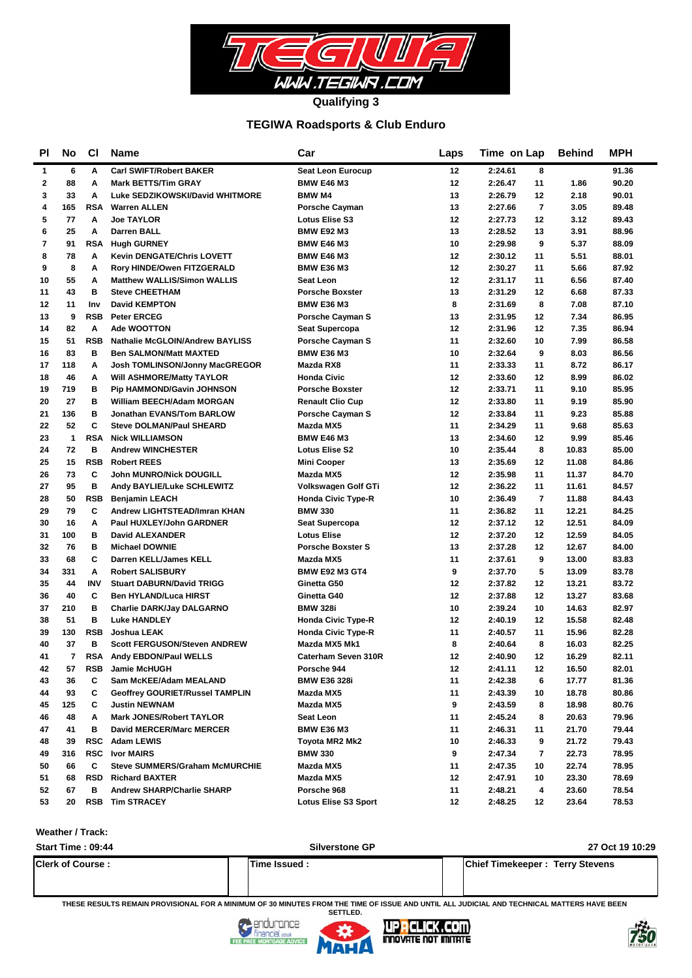

#### **TEGIWA Roadsports & Club Enduro**

| PI           | No           | <b>CI</b>  | Name                                   | Car                         | Laps | Time on Lap                | <b>Behind</b> | <b>MPH</b> |
|--------------|--------------|------------|----------------------------------------|-----------------------------|------|----------------------------|---------------|------------|
| 1            | 6            | A          | <b>Carl SWIFT/Robert BAKER</b>         | Seat Leon Eurocup           | 12   | 2:24.61<br>8               |               | 91.36      |
| $\mathbf{2}$ | 88           | A          | <b>Mark BETTS/Tim GRAY</b>             | <b>BMW E46 M3</b>           | 12   | 11<br>2:26.47              | 1.86          | 90.20      |
| 3            | 33           | A          | Luke SEDZIKOWSKI/David WHITMORE        | <b>BMW M4</b>               | 13   | 2:26.79<br>12              | 2.18          | 90.01      |
| 4            | 165          | <b>RSA</b> | <b>Warren ALLEN</b>                    | <b>Porsche Cayman</b>       | 13   | $\overline{7}$<br>2:27.66  | 3.05          | 89.48      |
| 5            | 77           | A          | <b>Joe TAYLOR</b>                      | <b>Lotus Elise S3</b>       | 12   | 2:27.73<br>12              | 3.12          | 89.43      |
| 6            | 25           | A          | <b>Darren BALL</b>                     | <b>BMW E92 M3</b>           | 13   | 2:28.52<br>13              | 3.91          | 88.96      |
| 7            | 91           | <b>RSA</b> | <b>Hugh GURNEY</b>                     | <b>BMW E46 M3</b>           | 10   | 2:29.98<br>9               | 5.37          | 88.09      |
| 8            | 78           | A          | <b>Kevin DENGATE/Chris LOVETT</b>      | <b>BMW E46 M3</b>           | 12   | 11<br>2:30.12              | 5.51          | 88.01      |
| 9            | 8            | A          | Rory HINDE/Owen FITZGERALD             | <b>BMW E36 M3</b>           | 12   | 2:30.27<br>11              | 5.66          | 87.92      |
| 10           | 55           | Α          | <b>Matthew WALLIS/Simon WALLIS</b>     | Seat Leon                   | 12   | 2:31.17<br>11              | 6.56          | 87.40      |
| 11           | 43           | в          | <b>Steve CHEETHAM</b>                  | <b>Porsche Boxster</b>      | 13   | 2:31.29<br>12              | 6.68          | 87.33      |
| 12           | 11           | Inv        | <b>David KEMPTON</b>                   | <b>BMW E36 M3</b>           | 8    | 8<br>2:31.69               | 7.08          | 87.10      |
| 13           | 9            | <b>RSB</b> | <b>Peter ERCEG</b>                     | <b>Porsche Cayman S</b>     | 13   | 2:31.95<br>12              | 7.34          | 86.95      |
| 14           | 82           | Α          | <b>Ade WOOTTON</b>                     | Seat Supercopa              | 12   | 2:31.96<br>$12 \,$         | 7.35          | 86.94      |
| 15           | 51           | <b>RSB</b> | <b>Nathalie McGLOIN/Andrew BAYLISS</b> | Porsche Cayman S            | 11   | 2:32.60<br>10              | 7.99          | 86.58      |
| 16           | 83           | в          | <b>Ben SALMON/Matt MAXTED</b>          | <b>BMW E36 M3</b>           | 10   | 2:32.64<br>9               | 8.03          | 86.56      |
| 17           | 118          | Α          | Josh TOMLINSON/Jonny MacGREGOR         | Mazda RX8                   | 11   | 2:33.33<br>11              | 8.72          | 86.17      |
| 18           | 46           | Α          | Will ASHMORE/Matty TAYLOR              | <b>Honda Civic</b>          | 12   | 2:33.60<br>$12 \,$         | 8.99          | 86.02      |
| 19           | 719          | в          | <b>Pip HAMMOND/Gavin JOHNSON</b>       | <b>Porsche Boxster</b>      | 12   | 2:33.71<br>11              | 9.10          | 85.95      |
| 20           | 27           | в          | <b>William BEECH/Adam MORGAN</b>       | <b>Renault Clio Cup</b>     | 12   | 11<br>2:33.80              | 9.19          | 85.90      |
| 21           | 136          | в          | Jonathan EVANS/Tom BARLOW              | <b>Porsche Cayman S</b>     | 12   | 11<br>2:33.84              | 9.23          | 85.88      |
| 22           | 52           | C          | <b>Steve DOLMAN/Paul SHEARD</b>        | Mazda MX5                   | 11   | 2:34.29<br>11              | 9.68          | 85.63      |
| 23           | $\mathbf{1}$ | <b>RSA</b> | <b>Nick WILLIAMSON</b>                 | <b>BMW E46 M3</b>           | 13   | 2:34.60<br>$12 \,$         | 9.99          | 85.46      |
| 24           | 72           | в          | <b>Andrew WINCHESTER</b>               | <b>Lotus Elise S2</b>       | 10   | 8<br>2:35.44               | 10.83         | 85.00      |
| 25           | 15           | <b>RSB</b> | <b>Robert REES</b>                     | <b>Mini Cooper</b>          | 13   | 2:35.69<br>$12 \,$         | 11.08         | 84.86      |
| 26           | 73           | C          | <b>John MUNRO/Nick DOUGILL</b>         | Mazda MX5                   | 12   | 2:35.98<br>11              | 11.37         | 84.70      |
| 27           | 95           | в          | Andy BAYLIE/Luke SCHLEWITZ             | Volkswagen Golf GTi         | 12   | 2:36.22<br>11              | 11.61         | 84.57      |
| 28           | 50           | <b>RSB</b> | <b>Benjamin LEACH</b>                  | <b>Honda Civic Type-R</b>   | 10   | $\overline{7}$<br>2:36.49  | 11.88         | 84.43      |
| 29           | 79           | C          | Andrew LIGHTSTEAD/Imran KHAN           | <b>BMW 330</b>              | 11   | 2:36.82<br>11              | 12.21         | 84.25      |
| 30           | 16           | Α          | Paul HUXLEY/John GARDNER               | Seat Supercopa              | 12   | 2:37.12<br>$12 \,$         | 12.51         | 84.09      |
| 31           | 100          | в          | <b>David ALEXANDER</b>                 | <b>Lotus Elise</b>          | 12   | 2:37.20<br>$12 \,$         | 12.59         | 84.05      |
| 32           | 76           | B          | <b>Michael DOWNIE</b>                  | <b>Porsche Boxster S</b>    | 13   | 12<br>2:37.28              | 12.67         | 84.00      |
| 33           | 68           | C          | Darren KELL/James KELL                 | Mazda MX5                   | 11   | 9<br>2:37.61               | 13.00         | 83.83      |
| 34           | 331          | A          | <b>Robert SALISBURY</b>                | <b>BMW E92 M3 GT4</b>       | 9    | 5<br>2:37.70               | 13.09         | 83.78      |
| 35           | 44           | <b>INV</b> | <b>Stuart DABURN/David TRIGG</b>       | Ginetta G50                 | 12   | 2:37.82<br>$12 \,$         | 13.21         | 83.72      |
| 36           | 40           | C          | <b>Ben HYLAND/Luca HIRST</b>           | Ginetta G40                 | 12   | 2:37.88<br>12              | 13.27         | 83.68      |
| 37           | 210          | в          | <b>Charlie DARK/Jay DALGARNO</b>       | <b>BMW 328i</b>             | 10   | 2:39.24<br>10              | 14.63         | 82.97      |
| 38           | 51           | в          | <b>Luke HANDLEY</b>                    | <b>Honda Civic Type-R</b>   | 12   | 2:40.19<br>12              | 15.58         | 82.48      |
| 39           | 130          | <b>RSB</b> | Joshua LEAK                            | <b>Honda Civic Type-R</b>   | 11   | 2:40.57<br>11              | 15.96         | 82.28      |
| 40           | 37           | в          | <b>Scott FERGUSON/Steven ANDREW</b>    | Mazda MX5 Mk1               | 8    | 8<br>2:40.64               | 16.03         | 82.25      |
| 41           | 7            | RSA        | Andy EBDON/Paul WELLS                  | Caterham Seven 310R         | 12   | 2:40.90<br>12 <sup>2</sup> | 16.29         | 82.11      |
| 42           | 57           | RSB        | Jamie McHUGH                           | Porsche 944                 | 12   | 2:41.11<br>12              | 16.50         | 82.01      |
| 43           | 36           | C          | Sam McKEE/Adam MEALAND                 | <b>BMW E36 328i</b>         | 11   | 2:42.38<br>6               | 17.77         | 81.36      |
| 44           | 93           | C          | <b>Geoffrey GOURIET/Russel TAMPLIN</b> | Mazda MX5                   | 11   | 2:43.39<br>10              | 18.78         | 80.86      |
| 45           | 125          | C          | <b>Justin NEWNAM</b>                   | Mazda MX5                   | 9    | 2:43.59<br>8               | 18.98         | 80.76      |
| 46           | 48           | Α          | <b>Mark JONES/Robert TAYLOR</b>        | Seat Leon                   | 11   | 2:45.24<br>8               | 20.63         | 79.96      |
| 47           | 41           | в          | <b>David MERCER/Marc MERCER</b>        | <b>BMW E36 M3</b>           | 11   | 2:46.31<br>11              | 21.70         | 79.44      |
| 48           | 39           |            | RSC Adam LEWIS                         | Toyota MR2 Mk2              | 10   | 2:46.33<br>9               | 21.72         | 79.43      |
| 49           | 316          | RSC        | <b>Ivor MAIRS</b>                      | <b>BMW 330</b>              | 9    | 2:47.34<br>7               | 22.73         | 78.95      |
| 50           | 66           | C          | <b>Steve SUMMERS/Graham McMURCHIE</b>  | Mazda MX5                   | 11   | 2:47.35<br>10              | 22.74         | 78.95      |
| 51           | 68           | <b>RSD</b> | <b>Richard BAXTER</b>                  | Mazda MX5                   | 12   | 2:47.91<br>10              | 23.30         | 78.69      |
| 52           | 67           | в          | <b>Andrew SHARP/Charlie SHARP</b>      | Porsche 968                 | 11   | 2:48.21<br>4               | 23.60         | 78.54      |
| 53           | 20           |            | <b>RSB</b> Tim STRACEY                 | <b>Lotus Elise S3 Sport</b> | 12   | 2:48.25<br>12              | 23.64         | 78.53      |

#### **Weather / Track:**

| Start Time: 09:44       | <b>Silverstone GP</b> | 27 Oct 19 10:29                        |
|-------------------------|-----------------------|----------------------------------------|
| <b>Clerk of Course:</b> | Time Issued :         | <b>Chief Timekeeper: Terry Stevens</b> |

**THESE RESULTS REMAIN PROVISIONAL FOR A MINIMUM OF 30 MINUTES FROM THE TIME OF ISSUE AND UNTIL ALL JUDICIAL AND TECHNICAL MATTERS HAVE BEEN** 





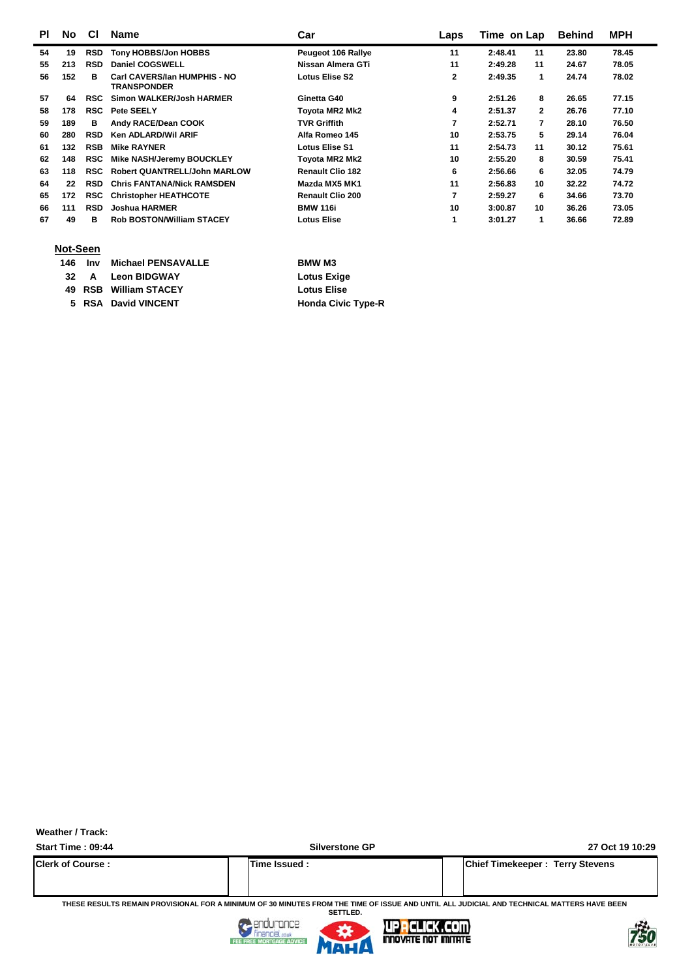| <b>PI</b> | No  | <b>CI</b>  | <b>Name</b>                                        | Car                       | Laps | Time on Lap   |              | <b>Behind</b> | <b>MPH</b> |
|-----------|-----|------------|----------------------------------------------------|---------------------------|------|---------------|--------------|---------------|------------|
| 54        | 19  | <b>RSD</b> | Tony HOBBS/Jon HOBBS                               | <b>Peugeot 106 Rallye</b> | 11   | 2:48.41       | 11           | 23.80         | 78.45      |
| 55        | 213 | <b>RSD</b> | Daniel COGSWELL                                    | Nissan Almera GTi         | 11   | 2:49.28       | 11           | 24.67         | 78.05      |
| 56        | 152 | в          | Carl CAVERS/Ian HUMPHIS - NO<br><b>TRANSPONDER</b> | Lotus Elise S2            | 2    | 2:49.35       | 1            | 24.74         | 78.02      |
| 57        | 64  | <b>RSC</b> | Simon WALKER/Josh HARMER                           | Ginetta G40               | 9    | 2:51.26       | 8            | 26.65         | 77.15      |
| 58        | 178 | <b>RSC</b> | <b>Pete SEELY</b>                                  | Tovota MR2 Mk2            | 4    | 2:51.37       | $\mathbf{2}$ | 26.76         | 77.10      |
| 59        | 189 | в          | Andy RACE/Dean COOK                                | <b>TVR Griffith</b>       | 7    | 2:52.71       | 7            | 28.10         | 76.50      |
| 60        | 280 | <b>RSD</b> | <b>Ken ADLARD/Wil ARIF</b>                         | Alfa Romeo 145            | 10   | 2:53.75       | 5            | 29.14         | 76.04      |
| 61        | 132 | <b>RSB</b> | <b>Mike RAYNER</b>                                 | <b>Lotus Elise S1</b>     | 11   | 2:54.73       | 11           | 30.12         | 75.61      |
| 62        | 148 | <b>RSC</b> | Mike NASH/Jeremy BOUCKLEY                          | Tovota MR2 Mk2            | 10   | 2:55.20       | 8            | 30.59         | 75.41      |
| 63        | 118 | <b>RSC</b> | <b>Robert QUANTRELL/John MARLOW</b>                | <b>Renault Clio 182</b>   | 6    | 2:56.66       | 6            | 32.05         | 74.79      |
| 64        | 22  | <b>RSD</b> | <b>Chris FANTANA/Nick RAMSDEN</b>                  | Mazda MX5 MK1             | 11   | 2:56.83       | 10           | 32.22         | 74.72      |
| 65        | 172 | <b>RSC</b> | <b>Christopher HEATHCOTE</b>                       | <b>Renault Clio 200</b>   | 7    | 2:59.27       | 6            | 34.66         | 73.70      |
| 66        | 111 | <b>RSD</b> | <b>Joshua HARMER</b>                               | <b>BMW 116i</b>           | 10   | 10<br>3:00.87 |              | 36.26         | 73.05      |
| 67        | 49  | в          | <b>Rob BOSTON/William STACEY</b>                   | Lotus Elise               |      | 3:01.27       |              | 36.66         | 72.89      |

#### **Not-Seen**

|  | 146 Inv Michael PENSAVALLE | <b>BMW M3</b>             |
|--|----------------------------|---------------------------|
|  | 32 A Leon BIDGWAY          | Lotus Exige               |
|  | 49 RSB William STACEY      | <b>Lotus Elise</b>        |
|  | 5 RSA David VINCENT        | <b>Honda Civic Type-R</b> |
|  |                            |                           |

**Weather / Track:** 

**Start Time : 09:44 Silverstone GP 27 Oct 19 10:29**

裔

| .                       |  |               |  |                                        |  |  |  |  |  |  |  |  |
|-------------------------|--|---------------|--|----------------------------------------|--|--|--|--|--|--|--|--|
| <b>Clerk of Course:</b> |  | Time Issued . |  | <b>Chief Timekeeper: Terry Stevens</b> |  |  |  |  |  |  |  |  |
|                         |  |               |  |                                        |  |  |  |  |  |  |  |  |

**THESE RESULTS REMAIN PROVISIONAL FOR A MINIMUM OF 30 MINUTES FROM THE TIME OF ISSUE AND UNTIL ALL JUDICIAL AND TECHNICAL MATTERS HAVE BEEN SETTLED.**



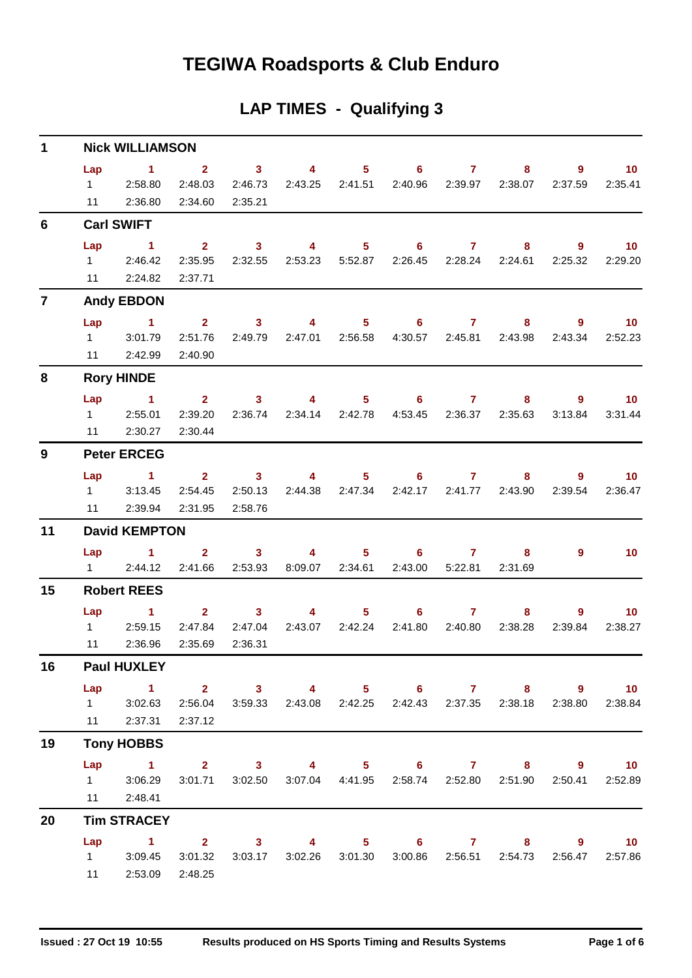## **TEGIWA Roadsports & Club Enduro**

### **LAP TIMES - Qualifying 3**

| $\mathbf 1$    | <b>Nick WILLIAMSON</b>      |                                                                                                                             |                                               |                                |                                |                                                                                                                                                                                                                                                                                                                                    |                   |                         |                                                                        |                           |                                           |  |  |  |  |
|----------------|-----------------------------|-----------------------------------------------------------------------------------------------------------------------------|-----------------------------------------------|--------------------------------|--------------------------------|------------------------------------------------------------------------------------------------------------------------------------------------------------------------------------------------------------------------------------------------------------------------------------------------------------------------------------|-------------------|-------------------------|------------------------------------------------------------------------|---------------------------|-------------------------------------------|--|--|--|--|
|                | Lap<br>11                   | $1 \t 2 \t 3$<br>1 2:58.80<br>2:36.80                                                                                       | 2:48.03<br>2:34.60                            | 2:46.73<br>2:35.21             |                                | 2:43.25 2:41.51                                                                                                                                                                                                                                                                                                                    | 4 5 6 7           |                         | 8<br>2:40.96 2:39.97 2:38.07                                           | $\overline{9}$<br>2:37.59 | $\blacksquare$ 10<br>2:35.41              |  |  |  |  |
| 6              |                             | <b>Carl SWIFT</b>                                                                                                           |                                               |                                |                                |                                                                                                                                                                                                                                                                                                                                    |                   |                         |                                                                        |                           |                                           |  |  |  |  |
|                | Lap                         | $\sim$ 1<br>12:46.42<br>11 2:24.82                                                                                          | $2^{\circ}$<br>2:37.71                        | $\sim$ 3                       |                                | $\overline{4}$ and $\overline{4}$ and $\overline{4}$ and $\overline{4}$ and $\overline{4}$ and $\overline{4}$ and $\overline{4}$ and $\overline{4}$ and $\overline{4}$ and $\overline{4}$ and $\overline{4}$ and $\overline{4}$ and $\overline{4}$ and $\overline{4}$ and $\overline{4}$ and $\overline{4}$ and $\overline{4}$ and | $5 \t\t 6 \t\t 7$ |                         | $8 -$<br>2:35.95  2:32.55  2:53.23  5:52.87  2:26.45  2:28.24  2:24.61 | 9<br>2:25.32              | $\sim$ 10<br>2:29.20                      |  |  |  |  |
| $\overline{7}$ |                             | <b>Andy EBDON</b>                                                                                                           |                                               |                                |                                |                                                                                                                                                                                                                                                                                                                                    |                   |                         |                                                                        |                           |                                           |  |  |  |  |
|                | Lap<br>$1 \quad \Box$<br>11 | $\sim$ $\sim$ 1.<br>3:01.79<br>2:42.99                                                                                      | 2:51.76<br>2:40.90                            | 2:49.79                        | 2 3 4 5 6 7<br>2:47.01 2:56.58 |                                                                                                                                                                                                                                                                                                                                    |                   |                         | 4:30.57  2:45.81  2:43.98                                              | $8 - 1$<br>2:43.34        | $9 \qquad \qquad 10$<br>2:52.23           |  |  |  |  |
| 8              | <b>Rory HINDE</b>           |                                                                                                                             |                                               |                                |                                |                                                                                                                                                                                                                                                                                                                                    |                   |                         |                                                                        |                           |                                           |  |  |  |  |
|                | Lap                         | $\sim$ 1<br>1 2:55.01<br>11 2:30.27                                                                                         | $\overline{\mathbf{2}}$<br>2:39.20<br>2:30.44 | 3 <sup>7</sup>                 | $\sim$ 4                       |                                                                                                                                                                                                                                                                                                                                    | $5 \t\t 6 \t\t 7$ |                         | $8 -$<br>2:36.74 2:34.14 2:42.78 4:53.45 2:36.37 2:35.63               | 3:13.84                   | 10 <sub>1</sub><br>$9^{\circ}$<br>3:31.44 |  |  |  |  |
| 9              | <b>Peter ERCEG</b>          |                                                                                                                             |                                               |                                |                                |                                                                                                                                                                                                                                                                                                                                    |                   |                         |                                                                        |                           |                                           |  |  |  |  |
|                | Lap<br>11                   | $\sim$ 1.000 $\pm$ 1.000 $\pm$<br>$1 \t3:13.45$<br>2:39.94                                                                  | 2:54.45<br>2:31.95                            | 2:50.13<br>2:58.76             | 2 3 4 5 6 7                    | 2:44.38 2:47.34                                                                                                                                                                                                                                                                                                                    |                   |                         | $8 -$<br>2:42.17 2:41.77 2:43.90                                       | 2:39.54                   | $9 \t 10$<br>2:36.47                      |  |  |  |  |
| 11             |                             | <b>David KEMPTON</b>                                                                                                        |                                               |                                |                                |                                                                                                                                                                                                                                                                                                                                    |                   |                         |                                                                        |                           |                                           |  |  |  |  |
|                |                             | Lap 1<br>12:44.12                                                                                                           | 2:41.66                                       | $2 \qquad \qquad 3$<br>2:53.93 | 8:09.07 2:34.61                |                                                                                                                                                                                                                                                                                                                                    | 4 5 6 7           | 2:43.00 5:22.81 2:31.69 | 8                                                                      | $9^{\circ}$               | 10                                        |  |  |  |  |
| 15             |                             | <b>Robert REES</b>                                                                                                          |                                               |                                |                                |                                                                                                                                                                                                                                                                                                                                    |                   |                         |                                                                        |                           |                                           |  |  |  |  |
|                | Lap<br>11                   | 1 2 3 4 5 6 7 8<br>1 2:59.15<br>2:36.96                                                                                     | 2:47.84<br>2:35.69                            | 2:47.04<br>2:36.31             |                                | 2:43.07 2:42.24                                                                                                                                                                                                                                                                                                                    | 2:41.80           | 2:40.80                 | 2:38.28                                                                | 9<br>2:39.84              | $\blacksquare$ 10<br>2:38.27              |  |  |  |  |
| 16             |                             | <b>Paul HUXLEY</b>                                                                                                          |                                               |                                |                                |                                                                                                                                                                                                                                                                                                                                    |                   |                         |                                                                        |                           |                                           |  |  |  |  |
|                | Lap                         | 1 2 3 4 5 6 7 8 9 10<br>1 3:02.63 2:56.04 3:59.33 2:43.08 2:42.25 2:42.43 2:37.35 2:38.18 2:38.80<br>11 2:37.31 2:37.12     |                                               |                                |                                |                                                                                                                                                                                                                                                                                                                                    |                   |                         |                                                                        |                           | 2:38.84                                   |  |  |  |  |
| 19             |                             | <b>Tony HOBBS</b>                                                                                                           |                                               |                                |                                |                                                                                                                                                                                                                                                                                                                                    |                   |                         |                                                                        |                           |                                           |  |  |  |  |
|                |                             | Lap 1 2 3 4 5 6 7 8 9 10<br>1 3:06.29 3:01.71 3:02.50 3:07.04 4:41.95 2:58.74 2:52.80 2:51.90 2:50.41 2:52.89<br>11 2:48.41 |                                               |                                |                                |                                                                                                                                                                                                                                                                                                                                    |                   |                         |                                                                        |                           |                                           |  |  |  |  |
| 20             |                             | <b>Tim STRACEY</b>                                                                                                          |                                               |                                |                                |                                                                                                                                                                                                                                                                                                                                    |                   |                         |                                                                        |                           |                                           |  |  |  |  |
|                | Lap                         | 1 2 3 4 5 6 7 8 9 10<br>1 3:09.45 3:01.32 3:03.17 3:02.26 3:01.30 3:00.86 2:56.51 2:54.73 2:56.47 2:57.86<br>11 2:53.09     | 2:48.25                                       |                                |                                |                                                                                                                                                                                                                                                                                                                                    |                   |                         |                                                                        |                           |                                           |  |  |  |  |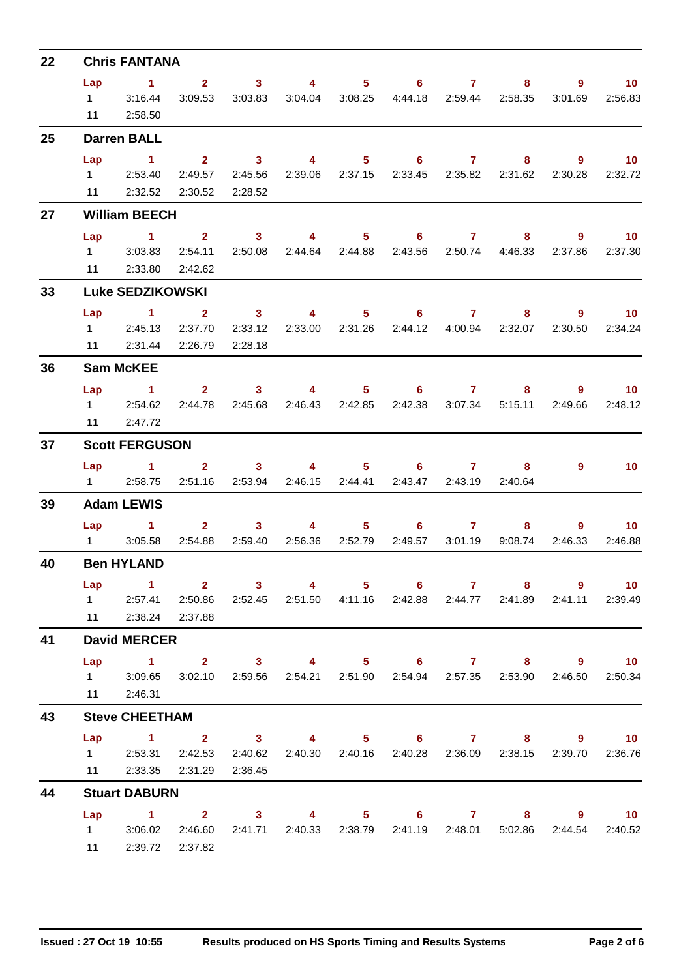| 22 |                                                                             | <b>Chris FANTANA</b>                                                              |                         |                     |                                                                        |                                                                                                                                                                                                                                                                                                                                    |                                                         |                         |                                             |             |                                |
|----|-----------------------------------------------------------------------------|-----------------------------------------------------------------------------------|-------------------------|---------------------|------------------------------------------------------------------------|------------------------------------------------------------------------------------------------------------------------------------------------------------------------------------------------------------------------------------------------------------------------------------------------------------------------------------|---------------------------------------------------------|-------------------------|---------------------------------------------|-------------|--------------------------------|
|    | Lap                                                                         | $\sim$ 1                                                                          |                         |                     | $2 \qquad 3 \qquad 4 \qquad 5 \qquad 6 \qquad 7$                       |                                                                                                                                                                                                                                                                                                                                    |                                                         |                         |                                             |             | $9^{\circ}$<br>10 <sup>°</sup> |
|    |                                                                             | 3:16.44                                                                           | 3:09.53                 |                     | 3:03.83  3:04.04  3:08.25  4:44.18  2:59.44  2:58.35                   |                                                                                                                                                                                                                                                                                                                                    |                                                         |                         |                                             | 3:01.69     | 2:56.83                        |
|    |                                                                             | 11 2:58.50                                                                        |                         |                     |                                                                        |                                                                                                                                                                                                                                                                                                                                    |                                                         |                         |                                             |             |                                |
| 25 | $1 \quad \blacksquare$<br>Lap<br>Lap<br>$1 \quad \Box$<br>Lap<br>Lap<br>Lap | <b>Darren BALL</b>                                                                |                         |                     |                                                                        |                                                                                                                                                                                                                                                                                                                                    |                                                         |                         |                                             |             |                                |
|    |                                                                             | $\sim$ 1.                                                                         |                         | $2 \t 3$            |                                                                        |                                                                                                                                                                                                                                                                                                                                    | 4 5 6 7 8 9 10                                          |                         |                                             |             |                                |
|    |                                                                             | 1 2:53.40                                                                         | 2:49.57                 | 2:45.56             |                                                                        |                                                                                                                                                                                                                                                                                                                                    | 2:39.06 2:37.15 2:33.45 2:35.82 2:31.62 2:30.28 2:32.72 |                         |                                             |             |                                |
|    |                                                                             | 11 2:32.52 2:30.52 2:28.52                                                        |                         |                     |                                                                        |                                                                                                                                                                                                                                                                                                                                    |                                                         |                         |                                             |             |                                |
| 27 |                                                                             | <b>William BEECH</b>                                                              |                         |                     |                                                                        |                                                                                                                                                                                                                                                                                                                                    |                                                         |                         |                                             |             |                                |
|    |                                                                             | 1 2 3 4 5 6 7 8                                                                   |                         |                     |                                                                        |                                                                                                                                                                                                                                                                                                                                    |                                                         |                         |                                             |             | $9 \t 10$                      |
|    |                                                                             | 3:03.83                                                                           | 2:54.11                 |                     | 2:50.08 2:44.64 2:44.88                                                |                                                                                                                                                                                                                                                                                                                                    |                                                         |                         | 2:43.56 2:50.74 4:46.33                     | 2:37.86     | 2:37.30                        |
|    |                                                                             | 11 2:33.80 2:42.62                                                                |                         |                     |                                                                        |                                                                                                                                                                                                                                                                                                                                    |                                                         |                         |                                             |             |                                |
| 33 |                                                                             | <b>Luke SEDZIKOWSKI</b>                                                           |                         |                     |                                                                        |                                                                                                                                                                                                                                                                                                                                    |                                                         |                         |                                             |             |                                |
|    |                                                                             | $\sim$ 1                                                                          | $\overline{\mathbf{a}}$ | $\sim$ 3            |                                                                        |                                                                                                                                                                                                                                                                                                                                    | 4 5 6 7 8 9 10                                          |                         |                                             |             |                                |
|    |                                                                             | 1 2:45.13 2:37.70                                                                 |                         | 2:33.12             |                                                                        |                                                                                                                                                                                                                                                                                                                                    |                                                         |                         | 2:44.12  4:00.94  2:32.07  2:30.50  2:34.24 |             |                                |
|    |                                                                             | 11 2:31.44 2:26.79                                                                |                         | 2:28.18             |                                                                        |                                                                                                                                                                                                                                                                                                                                    |                                                         |                         |                                             |             |                                |
| 36 |                                                                             | <b>Sam McKEE</b>                                                                  |                         |                     |                                                                        |                                                                                                                                                                                                                                                                                                                                    |                                                         |                         |                                             |             |                                |
|    |                                                                             | $\sim$ $\sim$ 1                                                                   |                         |                     | 2 3 4 5 6 7 8                                                          |                                                                                                                                                                                                                                                                                                                                    |                                                         |                         |                                             |             | $9 \t 10$                      |
|    |                                                                             | 1 2:54.62                                                                         | 2:44.78                 | 2:45.68             |                                                                        |                                                                                                                                                                                                                                                                                                                                    |                                                         |                         | 2:42.38 3:07.34 5:15.11                     | 2:49.66     | 2:48.12                        |
|    |                                                                             | 11 2:47.72                                                                        |                         |                     |                                                                        |                                                                                                                                                                                                                                                                                                                                    |                                                         |                         |                                             |             |                                |
| 37 |                                                                             | <b>Scott FERGUSON</b>                                                             |                         |                     |                                                                        |                                                                                                                                                                                                                                                                                                                                    |                                                         |                         |                                             |             |                                |
|    |                                                                             | Lap 1                                                                             |                         |                     | $2 \qquad 3 \qquad 4 \qquad 5 \qquad 6 \qquad 7$                       |                                                                                                                                                                                                                                                                                                                                    |                                                         |                         | 8.                                          | 9           | 10 <sup>°</sup>                |
|    |                                                                             | 1 2:58.75 2:51.16 2:53.94 2:46.15 2:44.41                                         |                         |                     |                                                                        |                                                                                                                                                                                                                                                                                                                                    |                                                         | 2:43.47 2:43.19 2:40.64 |                                             |             |                                |
| 39 |                                                                             | <b>Adam LEWIS</b>                                                                 |                         |                     |                                                                        |                                                                                                                                                                                                                                                                                                                                    |                                                         |                         |                                             |             |                                |
|    |                                                                             | $Lap \t1$                                                                         |                         | $2 \qquad \qquad 3$ |                                                                        | $\overline{4}$ and $\overline{4}$ and $\overline{4}$ and $\overline{4}$ and $\overline{4}$ and $\overline{4}$ and $\overline{4}$ and $\overline{4}$ and $\overline{4}$ and $\overline{4}$ and $\overline{4}$ and $\overline{4}$ and $\overline{4}$ and $\overline{4}$ and $\overline{4}$ and $\overline{4}$ and $\overline{4}$ and | $5 \t\t 6 \t\t 7$                                       |                         | 8                                           | $9^{\circ}$ | 10                             |
|    |                                                                             | 1 3:05.58 2:54.88 2:59.40 2:56.36 2:52.79                                         |                         |                     |                                                                        |                                                                                                                                                                                                                                                                                                                                    | 2:49.57                                                 |                         | 3:01.19 9:08.74                             | 2:46.33     | 2:46.88                        |
| 40 |                                                                             | <b>Ben HYLAND</b>                                                                 |                         |                     |                                                                        |                                                                                                                                                                                                                                                                                                                                    |                                                         |                         |                                             |             |                                |
|    |                                                                             | 1 2 3 4 5 6 7 8 9 10                                                              |                         |                     |                                                                        |                                                                                                                                                                                                                                                                                                                                    |                                                         |                         |                                             |             |                                |
|    |                                                                             | 1 2:57.41 2:50.86 2:52.45 2:51.50 4:11.16 2:42.88 2:44.77 2:41.89 2:41.11 2:39.49 |                         |                     |                                                                        |                                                                                                                                                                                                                                                                                                                                    |                                                         |                         |                                             |             |                                |
|    |                                                                             | 11 2:38.24 2:37.88                                                                |                         |                     |                                                                        |                                                                                                                                                                                                                                                                                                                                    |                                                         |                         |                                             |             |                                |
| 41 |                                                                             | <b>David MERCER</b>                                                               |                         |                     |                                                                        |                                                                                                                                                                                                                                                                                                                                    |                                                         |                         |                                             |             |                                |
|    |                                                                             | Lap 1 2 3 4 5 6 7 8 9 10                                                          |                         |                     |                                                                        |                                                                                                                                                                                                                                                                                                                                    |                                                         |                         |                                             |             |                                |
|    |                                                                             | 1 3:09.65 3:02.10 2:59.56 2:54.21 2:51.90 2:54.94 2:57.35 2:53.90 2:46.50 2:50.34 |                         |                     |                                                                        |                                                                                                                                                                                                                                                                                                                                    |                                                         |                         |                                             |             |                                |
|    |                                                                             | 11 2:46.31                                                                        |                         |                     |                                                                        |                                                                                                                                                                                                                                                                                                                                    |                                                         |                         |                                             |             |                                |
| 43 |                                                                             | <b>Steve CHEETHAM</b>                                                             |                         |                     |                                                                        |                                                                                                                                                                                                                                                                                                                                    |                                                         |                         |                                             |             |                                |
|    |                                                                             | Lap 1 2 3 4 5 6 7 8 9 10                                                          |                         |                     |                                                                        |                                                                                                                                                                                                                                                                                                                                    |                                                         |                         |                                             |             |                                |
|    |                                                                             | 1 2:53.31 2:42.53 2:40.62 2:40.30 2:40.16 2:40.28 2:36.09 2:38.15 2:39.70 2:36.76 |                         |                     |                                                                        |                                                                                                                                                                                                                                                                                                                                    |                                                         |                         |                                             |             |                                |
|    |                                                                             | 11 2:33.35 2:31.29 2:36.45                                                        |                         |                     |                                                                        |                                                                                                                                                                                                                                                                                                                                    |                                                         |                         |                                             |             |                                |
| 44 |                                                                             | <b>Stuart DABURN</b>                                                              |                         |                     |                                                                        |                                                                                                                                                                                                                                                                                                                                    |                                                         |                         |                                             |             |                                |
|    |                                                                             | Lap 1 2 3 4 5 6 7 8 9 10<br>1 3:06.02 2:46.60                                     |                         |                     | 2:41.71  2:40.33  2:38.79  2:41.19  2:48.01  5:02.86  2:44.54  2:40.52 |                                                                                                                                                                                                                                                                                                                                    |                                                         |                         |                                             |             |                                |
|    |                                                                             | 11 2:39.72 2:37.82                                                                |                         |                     |                                                                        |                                                                                                                                                                                                                                                                                                                                    |                                                         |                         |                                             |             |                                |
|    |                                                                             |                                                                                   |                         |                     |                                                                        |                                                                                                                                                                                                                                                                                                                                    |                                                         |                         |                                             |             |                                |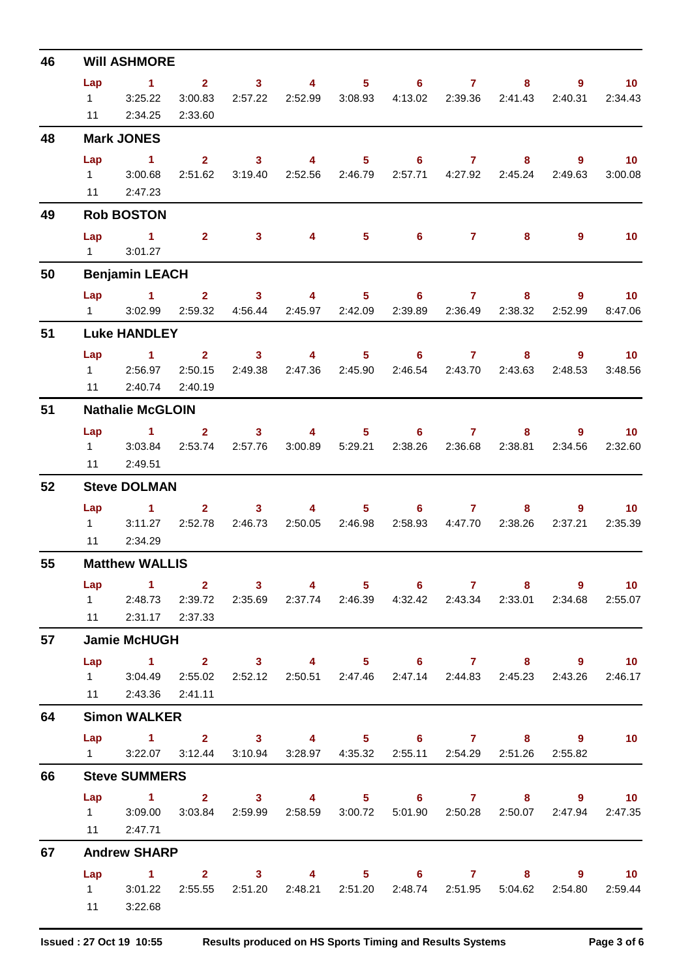| 46 |                       | <b>WIII ASHMORE</b>                                                                                   |                         |                                                                                                                                                                                                                                                                                                                                                                                                                         |                                            |         |                   |                                  |                              |                |                               |
|----|-----------------------|-------------------------------------------------------------------------------------------------------|-------------------------|-------------------------------------------------------------------------------------------------------------------------------------------------------------------------------------------------------------------------------------------------------------------------------------------------------------------------------------------------------------------------------------------------------------------------|--------------------------------------------|---------|-------------------|----------------------------------|------------------------------|----------------|-------------------------------|
|    | Lap                   | $\sim$ 1                                                                                              | $\overline{\mathbf{2}}$ | $\overline{3}$ 4                                                                                                                                                                                                                                                                                                                                                                                                        |                                            |         | $5 \t\t 6 \t\t 7$ |                                  | 8 <sub>1</sub>               | 9              | $\blacksquare$ 10             |
|    | $1 \quad \Box$        | 3:25.22                                                                                               | 3:00.83                 |                                                                                                                                                                                                                                                                                                                                                                                                                         | 2:57.22 2:52.99 3:08.93                    |         |                   |                                  | 4:13.02  2:39.36  2:41.43    | 2:40.31        | 2:34.43                       |
|    | 11                    | 2:34.25                                                                                               | 2:33.60                 |                                                                                                                                                                                                                                                                                                                                                                                                                         |                                            |         |                   |                                  |                              |                |                               |
| 48 |                       | <b>Mark JONES</b>                                                                                     |                         |                                                                                                                                                                                                                                                                                                                                                                                                                         |                                            |         |                   |                                  |                              |                |                               |
|    | Lap<br>$1 \quad \Box$ | $\sim$ 1<br>3:00.68                                                                                   | $\mathbf{2}$<br>2:51.62 | $\sim$ 3<br>3:19.40                                                                                                                                                                                                                                                                                                                                                                                                     | $\overline{4}$<br>2:52.56  2:46.79         |         | $5 \t\t 6$        | $\mathbf{7}$<br>2:57.71  4:27.92 | 8<br>2:45.24                 | 9<br>2:49.63   | 10<br>3:00.08                 |
|    |                       | 11 2:47.23                                                                                            |                         |                                                                                                                                                                                                                                                                                                                                                                                                                         |                                            |         |                   |                                  |                              |                |                               |
| 49 |                       | <b>Rob BOSTON</b>                                                                                     |                         |                                                                                                                                                                                                                                                                                                                                                                                                                         |                                            |         |                   |                                  |                              |                |                               |
|    | Lap                   | $\sim$ 1.                                                                                             |                         |                                                                                                                                                                                                                                                                                                                                                                                                                         | $2 \qquad 3 \qquad 4$                      |         | $5 \t\t 6 \t\t 7$ |                                  | 8                            | $\overline{9}$ | 10                            |
|    |                       | $1 \quad 3:01.27$                                                                                     |                         |                                                                                                                                                                                                                                                                                                                                                                                                                         |                                            |         |                   |                                  |                              |                |                               |
| 50 |                       | <b>Benjamin LEACH</b>                                                                                 |                         |                                                                                                                                                                                                                                                                                                                                                                                                                         |                                            |         |                   |                                  |                              |                |                               |
|    |                       | Lap 1 2 3                                                                                             |                         |                                                                                                                                                                                                                                                                                                                                                                                                                         | $\sim$ 4                                   |         | $5 \t\t 6 \t\t 7$ |                                  | 8                            | $\overline{9}$ | $\blacksquare$ 10             |
|    | $1 \quad \Box$        | 3:02.99                                                                                               | 2:59.32                 | 4:56.44                                                                                                                                                                                                                                                                                                                                                                                                                 | 2:45.97 2:42.09                            |         |                   | 2:39.89 2:36.49                  | 2:38.32                      | 2:52.99        | 8:47.06                       |
| 51 |                       | <b>Luke HANDLEY</b>                                                                                   |                         |                                                                                                                                                                                                                                                                                                                                                                                                                         |                                            |         |                   |                                  |                              |                |                               |
|    | Lap                   | $\blacktriangleleft$<br>1 2:56.97                                                                     | 2:50.15                 | $\overline{\mathbf{2}}$ and $\overline{\mathbf{2}}$ and $\overline{\mathbf{2}}$ and $\overline{\mathbf{2}}$ and $\overline{\mathbf{2}}$ and $\overline{\mathbf{2}}$ and $\overline{\mathbf{2}}$ and $\overline{\mathbf{2}}$ and $\overline{\mathbf{2}}$ and $\overline{\mathbf{2}}$ and $\overline{\mathbf{2}}$ and $\overline{\mathbf{2}}$ and $\overline{\mathbf{2}}$ and $\overline{\mathbf{2}}$ a<br>3 <sup>1</sup> | $\sim$ 4 $\sim$<br>2:49.38 2:47.36 2:45.90 |         | $5 \t\t 6 \t\t 7$ |                                  | 8<br>2:46.54 2:43.70 2:43.63 | 2:48.53        | $9$ and $10$<br>10<br>3:48.56 |
|    |                       | 11 2:40.74 2:40.19                                                                                    |                         |                                                                                                                                                                                                                                                                                                                                                                                                                         |                                            |         |                   |                                  |                              |                |                               |
| 51 |                       | <b>Nathalie McGLOIN</b>                                                                               |                         |                                                                                                                                                                                                                                                                                                                                                                                                                         |                                            |         |                   |                                  |                              |                |                               |
|    | Lap                   | $\sim$ 1                                                                                              | $\overline{\mathbf{2}}$ |                                                                                                                                                                                                                                                                                                                                                                                                                         | $3 \t 4$                                   |         | $5 \t\t 6 \t\t 7$ |                                  | $8 -$                        | 9              | $\sim$ 10                     |
|    | $1 \quad \Box$        | 3:03.84                                                                                               | 2:53.74                 | 2:57.76                                                                                                                                                                                                                                                                                                                                                                                                                 | 3:00.89                                    | 5:29.21 |                   | 2:38.26 2:36.68                  | 2:38.81                      | 2:34.56        | 2:32.60                       |
|    | 11                    | 2:49.51                                                                                               |                         |                                                                                                                                                                                                                                                                                                                                                                                                                         |                                            |         |                   |                                  |                              |                |                               |
| 52 |                       | <b>Steve DOLMAN</b>                                                                                   |                         |                                                                                                                                                                                                                                                                                                                                                                                                                         |                                            |         |                   |                                  |                              |                |                               |
|    | Lap                   | 1.                                                                                                    | $2^{\circ}$             | 3 <sub>1</sub>                                                                                                                                                                                                                                                                                                                                                                                                          | 4                                          | $5 -$   | 6                 | $\mathbf{7}$                     | 8                            | 9              | 10                            |
|    | 11                    | 1 3:11.27 2:52.78 2:46.73 2:50.05 2:46.98<br>2:34.29                                                  |                         |                                                                                                                                                                                                                                                                                                                                                                                                                         |                                            |         |                   |                                  | 2:58.93  4:47.70  2:38.26    | 2:37.21        | 2:35.39                       |
| 55 |                       | <b>Matthew WALLIS</b>                                                                                 |                         |                                                                                                                                                                                                                                                                                                                                                                                                                         |                                            |         |                   |                                  |                              |                |                               |
|    | Lap                   | $\sim$ $\sim$ 1.                                                                                      | 2 3 4 5 6 7 8 9 10      |                                                                                                                                                                                                                                                                                                                                                                                                                         |                                            |         |                   |                                  |                              |                |                               |
|    |                       | 1 2:48.73 2:39.72 2:35.69 2:37.74 2:46.39 4:32.42 2:43.34 2:33.01 2:34.68 2:55.07                     |                         |                                                                                                                                                                                                                                                                                                                                                                                                                         |                                            |         |                   |                                  |                              |                |                               |
|    |                       | 11 2:31.17 2:37.33                                                                                    |                         |                                                                                                                                                                                                                                                                                                                                                                                                                         |                                            |         |                   |                                  |                              |                |                               |
| 57 |                       | <b>Jamie McHUGH</b>                                                                                   |                         |                                                                                                                                                                                                                                                                                                                                                                                                                         |                                            |         |                   |                                  |                              |                |                               |
|    |                       | Lap 1 2 3 4 5 6 7 8 9 10                                                                              |                         |                                                                                                                                                                                                                                                                                                                                                                                                                         |                                            |         |                   |                                  |                              |                |                               |
|    |                       | 1 3:04.49 2:55.02 2:52.12 2:50.51 2:47.46 2:47.14 2:44.83 2:45.23 2:43.26 2:46.17                     |                         |                                                                                                                                                                                                                                                                                                                                                                                                                         |                                            |         |                   |                                  |                              |                |                               |
|    |                       | 11 2:43.36 2:41.11                                                                                    |                         |                                                                                                                                                                                                                                                                                                                                                                                                                         |                                            |         |                   |                                  |                              |                |                               |
| 64 |                       | <b>Simon WALKER</b>                                                                                   |                         |                                                                                                                                                                                                                                                                                                                                                                                                                         |                                            |         |                   |                                  |                              |                |                               |
|    |                       | Lap 1 2 3 4 5 6 7 8 9 10<br>1 3:22.07 3:12.44 3:10.94 3:28.97 4:35.32 2:55.11 2:54.29 2:51.26 2:55.82 |                         |                                                                                                                                                                                                                                                                                                                                                                                                                         |                                            |         |                   |                                  |                              |                |                               |
| 66 |                       | <b>Steve SUMMERS</b>                                                                                  |                         |                                                                                                                                                                                                                                                                                                                                                                                                                         |                                            |         |                   |                                  |                              |                |                               |
|    | Lap                   | 1 2 3 4 5 6 7 8 9 10                                                                                  |                         |                                                                                                                                                                                                                                                                                                                                                                                                                         |                                            |         |                   |                                  |                              |                |                               |
|    |                       | 1 3:09.00 3:03.84 2:59.99 2:58.59 3:00.72 5:01.90 2:50.28 2:50.07 2:47.94 2:47.35                     |                         |                                                                                                                                                                                                                                                                                                                                                                                                                         |                                            |         |                   |                                  |                              |                |                               |
|    |                       | 11 2:47.71                                                                                            |                         |                                                                                                                                                                                                                                                                                                                                                                                                                         |                                            |         |                   |                                  |                              |                |                               |
| 67 |                       | <b>Andrew SHARP</b>                                                                                   |                         |                                                                                                                                                                                                                                                                                                                                                                                                                         |                                            |         |                   |                                  |                              |                |                               |
|    |                       | Lap 1 2 3 4 5 6 7 8 9 10                                                                              |                         |                                                                                                                                                                                                                                                                                                                                                                                                                         |                                            |         |                   |                                  |                              |                |                               |
|    |                       | 1 3:01.22 2:55.55 2:51.20 2:48.21 2:51.20 2:48.74 2:51.95 5:04.62 2:54.80 2:59.44                     |                         |                                                                                                                                                                                                                                                                                                                                                                                                                         |                                            |         |                   |                                  |                              |                |                               |
|    |                       | 11 3:22.68                                                                                            |                         |                                                                                                                                                                                                                                                                                                                                                                                                                         |                                            |         |                   |                                  |                              |                |                               |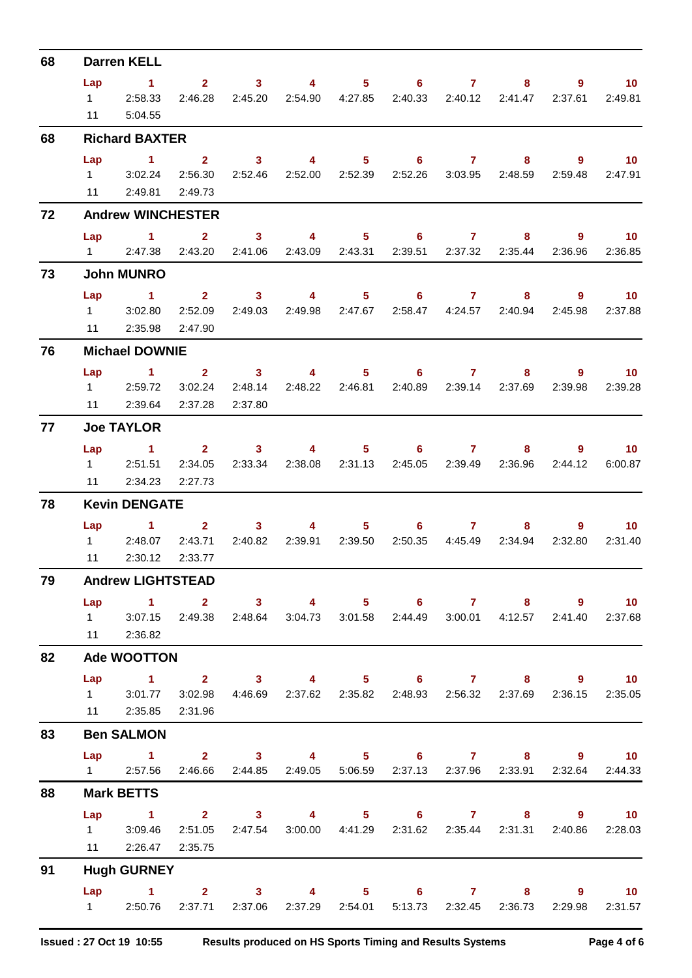| 68 |     | <b>Darren KELL</b>                                                                                     |         |                                                                                                                                                                                                                                                                                                                                                                                                       |                                     |                                                                                                                                                                                                                                                                                                                                    |                                                                 |                           |                   |                   |
|----|-----|--------------------------------------------------------------------------------------------------------|---------|-------------------------------------------------------------------------------------------------------------------------------------------------------------------------------------------------------------------------------------------------------------------------------------------------------------------------------------------------------------------------------------------------------|-------------------------------------|------------------------------------------------------------------------------------------------------------------------------------------------------------------------------------------------------------------------------------------------------------------------------------------------------------------------------------|-----------------------------------------------------------------|---------------------------|-------------------|-------------------|
|    | Lap | $\sim$ 1                                                                                               |         |                                                                                                                                                                                                                                                                                                                                                                                                       |                                     |                                                                                                                                                                                                                                                                                                                                    | $2 \qquad 3 \qquad 4 \qquad 5 \qquad 6 \qquad 7$                | 8                         | 9                 | $\blacksquare$ 10 |
|    |     | $1$ 2:58.33                                                                                            | 2:46.28 |                                                                                                                                                                                                                                                                                                                                                                                                       | 2:45.20 2:54.90 4:27.85             |                                                                                                                                                                                                                                                                                                                                    |                                                                 | 2:40.33 2:40.12 2:41.47   | 2:37.61           | 2:49.81           |
|    |     | 11 5:04.55                                                                                             |         |                                                                                                                                                                                                                                                                                                                                                                                                       |                                     |                                                                                                                                                                                                                                                                                                                                    |                                                                 |                           |                   |                   |
| 68 |     | <b>Richard BAXTER</b>                                                                                  |         |                                                                                                                                                                                                                                                                                                                                                                                                       |                                     |                                                                                                                                                                                                                                                                                                                                    |                                                                 |                           |                   |                   |
|    | Lap | $\sim$ 1 $\sim$ 2                                                                                      |         |                                                                                                                                                                                                                                                                                                                                                                                                       |                                     |                                                                                                                                                                                                                                                                                                                                    | 3 4 5 6 7 8                                                     |                           | $\overline{9}$ 10 |                   |
|    |     | 1 3:02.24                                                                                              | 2:56.30 |                                                                                                                                                                                                                                                                                                                                                                                                       |                                     |                                                                                                                                                                                                                                                                                                                                    | 2:52.46  2:52.00  2:52.39  2:52.26  3:03.95  2:48.59  2:59.48   |                           |                   | 2:47.91           |
|    |     | 11 2:49.81 2:49.73                                                                                     |         |                                                                                                                                                                                                                                                                                                                                                                                                       |                                     |                                                                                                                                                                                                                                                                                                                                    |                                                                 |                           |                   |                   |
| 72 |     | <b>Andrew WINCHESTER</b>                                                                               |         |                                                                                                                                                                                                                                                                                                                                                                                                       |                                     |                                                                                                                                                                                                                                                                                                                                    |                                                                 |                           |                   |                   |
|    |     | Lap 1 2 3 4 5 6 7 8                                                                                    |         |                                                                                                                                                                                                                                                                                                                                                                                                       |                                     |                                                                                                                                                                                                                                                                                                                                    |                                                                 |                           | - 9               | $\sim$ 10         |
|    |     | 1 2:47.38 2:43.20 2:41.06 2:43.09 2:43.31                                                              |         |                                                                                                                                                                                                                                                                                                                                                                                                       |                                     |                                                                                                                                                                                                                                                                                                                                    |                                                                 | 2:39.51  2:37.32  2:35.44 | 2:36.96           | 2:36.85           |
| 73 |     | <b>John MUNRO</b>                                                                                      |         |                                                                                                                                                                                                                                                                                                                                                                                                       |                                     |                                                                                                                                                                                                                                                                                                                                    |                                                                 |                           |                   |                   |
|    |     | Lap 1 2 3 4                                                                                            |         |                                                                                                                                                                                                                                                                                                                                                                                                       |                                     |                                                                                                                                                                                                                                                                                                                                    | $5 \t\t 6 \t\t 7$                                               |                           | $8 - 1$           | $9 \t 10$         |
|    |     | 1 3:02.80                                                                                              | 2:52.09 | 2:49.03                                                                                                                                                                                                                                                                                                                                                                                               |                                     |                                                                                                                                                                                                                                                                                                                                    | 2:49.98  2:47.67  2:58.47  4:24.57  2:40.94  2:45.98            |                           |                   | 2:37.88           |
|    | 11  | 2:35.98                                                                                                | 2:47.90 |                                                                                                                                                                                                                                                                                                                                                                                                       |                                     |                                                                                                                                                                                                                                                                                                                                    |                                                                 |                           |                   |                   |
| 76 |     | <b>Michael DOWNIE</b>                                                                                  |         |                                                                                                                                                                                                                                                                                                                                                                                                       |                                     |                                                                                                                                                                                                                                                                                                                                    |                                                                 |                           |                   |                   |
|    | Lap | $\sim$ 1 $\sim$ 1                                                                                      |         |                                                                                                                                                                                                                                                                                                                                                                                                       | $2 \qquad \qquad 3 \qquad \qquad 4$ |                                                                                                                                                                                                                                                                                                                                    | $5 \t\t 6 \t\t 7$                                               |                           | $8 - 8$           | $9 \t 10$         |
|    |     | 1 2:59.72 3:02.24 2:48.14                                                                              |         |                                                                                                                                                                                                                                                                                                                                                                                                       |                                     |                                                                                                                                                                                                                                                                                                                                    | 2:48.22  2:46.81  2:40.89  2:39.14  2:37.69  2:39.98  2:39.28   |                           |                   |                   |
|    |     | 11 2:39.64 2:37.28                                                                                     |         | 2:37.80                                                                                                                                                                                                                                                                                                                                                                                               |                                     |                                                                                                                                                                                                                                                                                                                                    |                                                                 |                           |                   |                   |
| 77 |     | <b>Joe TAYLOR</b>                                                                                      |         |                                                                                                                                                                                                                                                                                                                                                                                                       |                                     |                                                                                                                                                                                                                                                                                                                                    |                                                                 |                           |                   |                   |
|    |     | $Lap$ 1                                                                                                |         |                                                                                                                                                                                                                                                                                                                                                                                                       | $2 \t 3 \t 4$                       |                                                                                                                                                                                                                                                                                                                                    | $5 \t\t 6 \t\t 7$                                               |                           |                   | $9 \t 10$         |
|    |     | 1 2:51.51 2:34.05                                                                                      |         |                                                                                                                                                                                                                                                                                                                                                                                                       |                                     |                                                                                                                                                                                                                                                                                                                                    | 2:33.34 2:38.08 2:31.13 2:45.05 2:39.49 2:36.96                 |                           | 2:44.12           | 6:00.87           |
|    | 11  | 2:34.23                                                                                                | 2:27.73 |                                                                                                                                                                                                                                                                                                                                                                                                       |                                     |                                                                                                                                                                                                                                                                                                                                    |                                                                 |                           |                   |                   |
| 78 |     | <b>Kevin DENGATE</b>                                                                                   |         |                                                                                                                                                                                                                                                                                                                                                                                                       |                                     |                                                                                                                                                                                                                                                                                                                                    |                                                                 |                           |                   |                   |
|    | Lap | $\sim$ $\sim$ $\sim$ $\sim$ $\sim$ $\sim$                                                              |         | $\overline{\mathbf{2}}$ and $\overline{\mathbf{2}}$ and $\overline{\mathbf{2}}$ and $\overline{\mathbf{2}}$ and $\overline{\mathbf{2}}$ and $\overline{\mathbf{2}}$ and $\overline{\mathbf{2}}$ and $\overline{\mathbf{2}}$ and $\overline{\mathbf{2}}$ and $\overline{\mathbf{2}}$ and $\overline{\mathbf{2}}$ and $\overline{\mathbf{2}}$ and $\overline{\mathbf{2}}$ and $\overline{\mathbf{2}}$ a | $3 \qquad \qquad$                   | $\overline{4}$ and $\overline{4}$ and $\overline{4}$ and $\overline{4}$ and $\overline{4}$ and $\overline{4}$ and $\overline{4}$ and $\overline{4}$ and $\overline{4}$ and $\overline{4}$ and $\overline{4}$ and $\overline{4}$ and $\overline{4}$ and $\overline{4}$ and $\overline{4}$ and $\overline{4}$ and $\overline{4}$ and | $5 \t\t 6 \t\t 7$                                               | 8                         |                   | $9^{\circ}$<br>10 |
|    |     | 1 2:48.07 2:43.71                                                                                      |         |                                                                                                                                                                                                                                                                                                                                                                                                       |                                     |                                                                                                                                                                                                                                                                                                                                    | 2:40.82  2:39.91  2:39.50  2:50.35  4:45.49  2:34.94            |                           |                   | 2:32.80 2:31.40   |
|    | 11  | 2:30.12                                                                                                | 2:33.77 |                                                                                                                                                                                                                                                                                                                                                                                                       |                                     |                                                                                                                                                                                                                                                                                                                                    |                                                                 |                           |                   |                   |
| 79 |     | <b>Andrew LIGHTSTEAD</b>                                                                               |         |                                                                                                                                                                                                                                                                                                                                                                                                       |                                     |                                                                                                                                                                                                                                                                                                                                    |                                                                 |                           |                   |                   |
|    | Lap | 1 2 3 4 5 6 7 8 9<br>1 3:07.15 2:49.38 2:48.64 3:04.73 3:01.58 2:44.49 3:00.01 4:12.57 2:41.40 2:37.68 |         |                                                                                                                                                                                                                                                                                                                                                                                                       |                                     |                                                                                                                                                                                                                                                                                                                                    |                                                                 |                           |                   | 10 <sub>1</sub>   |
|    |     | 11 2:36.82                                                                                             |         |                                                                                                                                                                                                                                                                                                                                                                                                       |                                     |                                                                                                                                                                                                                                                                                                                                    |                                                                 |                           |                   |                   |
| 82 |     | <b>Ade WOOTTON</b>                                                                                     |         |                                                                                                                                                                                                                                                                                                                                                                                                       |                                     |                                                                                                                                                                                                                                                                                                                                    |                                                                 |                           |                   |                   |
|    |     | Lap 1 2 3 4 5 6 7 8 9 10                                                                               |         |                                                                                                                                                                                                                                                                                                                                                                                                       |                                     |                                                                                                                                                                                                                                                                                                                                    |                                                                 |                           |                   |                   |
|    |     | 1 3:01.77 3:02.98 4:46.69 2:37.62 2:35.82 2:48.93 2:56.32 2:37.69 2:36.15 2:35.05                      |         |                                                                                                                                                                                                                                                                                                                                                                                                       |                                     |                                                                                                                                                                                                                                                                                                                                    |                                                                 |                           |                   |                   |
|    |     | 11 2:35.85 2:31.96                                                                                     |         |                                                                                                                                                                                                                                                                                                                                                                                                       |                                     |                                                                                                                                                                                                                                                                                                                                    |                                                                 |                           |                   |                   |
| 83 |     | <b>Ben SALMON</b>                                                                                      |         |                                                                                                                                                                                                                                                                                                                                                                                                       |                                     |                                                                                                                                                                                                                                                                                                                                    |                                                                 |                           |                   |                   |
|    |     | Lap 1 2 3 4 5 6 7 8 9 10                                                                               |         |                                                                                                                                                                                                                                                                                                                                                                                                       |                                     |                                                                                                                                                                                                                                                                                                                                    |                                                                 |                           |                   |                   |
|    |     | 1 2:57.56 2:46.66 2:44.85 2:49.05 5:06.59 2:37.13 2:37.96 2:33.91 2:32.64                              |         |                                                                                                                                                                                                                                                                                                                                                                                                       |                                     |                                                                                                                                                                                                                                                                                                                                    |                                                                 |                           |                   | 2:44.33           |
| 88 |     | <b>Mark BETTS</b>                                                                                      |         |                                                                                                                                                                                                                                                                                                                                                                                                       |                                     |                                                                                                                                                                                                                                                                                                                                    |                                                                 |                           |                   |                   |
|    | Lap | 1 2 3 4 5 6 7 8 9 10                                                                                   |         |                                                                                                                                                                                                                                                                                                                                                                                                       |                                     |                                                                                                                                                                                                                                                                                                                                    |                                                                 |                           |                   |                   |
|    |     | 1 3:09.46                                                                                              | 2:51.05 |                                                                                                                                                                                                                                                                                                                                                                                                       |                                     |                                                                                                                                                                                                                                                                                                                                    | 2:47.54 3:00.00 4:41.29 2:31.62 2:35.44 2:31.31 2:40.86 2:28.03 |                           |                   |                   |
|    |     | 11 2:26.47 2:35.75                                                                                     |         |                                                                                                                                                                                                                                                                                                                                                                                                       |                                     |                                                                                                                                                                                                                                                                                                                                    |                                                                 |                           |                   |                   |
| 91 |     | <b>Hugh GURNEY</b>                                                                                     |         |                                                                                                                                                                                                                                                                                                                                                                                                       |                                     |                                                                                                                                                                                                                                                                                                                                    |                                                                 |                           |                   |                   |
|    |     | Lap 1 2 3 4 5 6 7 8 9 10                                                                               |         |                                                                                                                                                                                                                                                                                                                                                                                                       |                                     |                                                                                                                                                                                                                                                                                                                                    |                                                                 |                           |                   |                   |
|    |     | 1 2:50.76 2:37.71 2:37.06 2:37.29 2:54.01 5:13.73 2:32.45 2:36.73 2:29.98                              |         |                                                                                                                                                                                                                                                                                                                                                                                                       |                                     |                                                                                                                                                                                                                                                                                                                                    |                                                                 |                           |                   | 2:31.57           |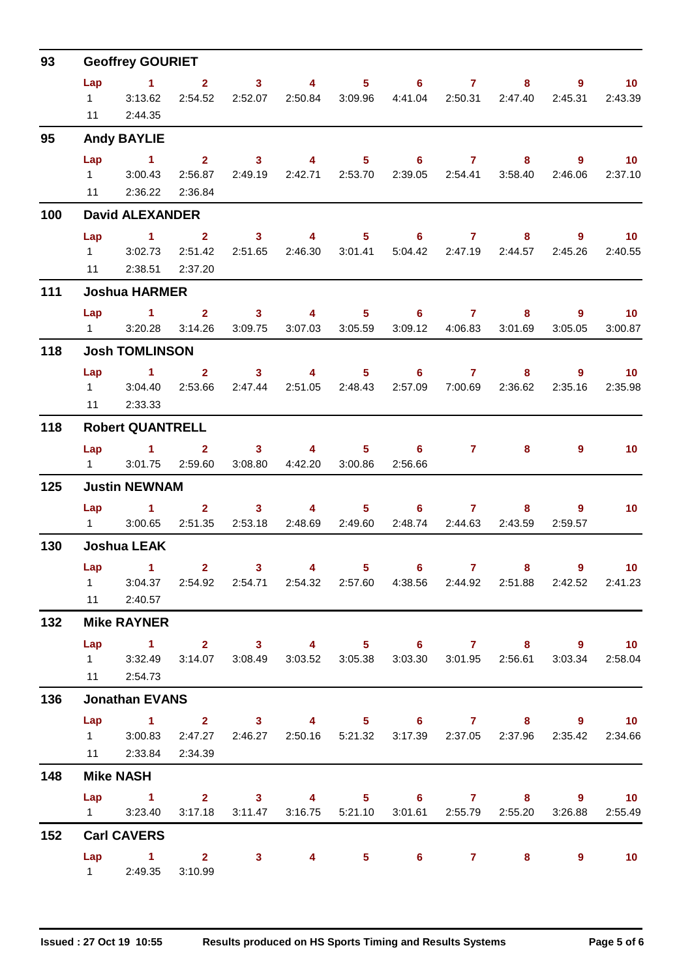| 93  | <b>Geoffrey GOURIET</b> |                                                                                                                                     |                        |                                                                                                                                                                                                                                                                                                                                                                                                       |                                             |         |                                                                   |                 |                         |                        |                                                   |  |  |
|-----|-------------------------|-------------------------------------------------------------------------------------------------------------------------------------|------------------------|-------------------------------------------------------------------------------------------------------------------------------------------------------------------------------------------------------------------------------------------------------------------------------------------------------------------------------------------------------------------------------------------------------|---------------------------------------------|---------|-------------------------------------------------------------------|-----------------|-------------------------|------------------------|---------------------------------------------------|--|--|
|     | $1 \quad \Box$<br>11    | Lap 1<br>3:13.62<br>2:44.35                                                                                                         | $2^{\circ}$<br>2:54.52 |                                                                                                                                                                                                                                                                                                                                                                                                       |                                             |         | 3 4 5 6 7<br>2:52.07  2:50.84  3:09.96  4:41.04  2:50.31  2:47.40 |                 | $8 -$                   | $9^{\circ}$<br>2:45.31 | 10 <sup>1</sup><br>2:43.39                        |  |  |
| 95  |                         | <b>Andy BAYLIE</b>                                                                                                                  |                        |                                                                                                                                                                                                                                                                                                                                                                                                       |                                             |         |                                                                   |                 |                         |                        |                                                   |  |  |
|     | $1 \quad \Box$          | Lap 1 2 3 4 5 6 7 8 9 10<br>3:00.43<br>11 2:36.22 2:36.84                                                                           | 2:56.87                |                                                                                                                                                                                                                                                                                                                                                                                                       | 2:49.19 2:42.71 2:53.70                     |         |                                                                   | 2:39.05 2:54.41 | 3:58.40                 | 2:46.06                | 2:37.10                                           |  |  |
| 100 |                         | <b>David ALEXANDER</b>                                                                                                              |                        |                                                                                                                                                                                                                                                                                                                                                                                                       |                                             |         |                                                                   |                 |                         |                        |                                                   |  |  |
|     | Lap<br>$1 \quad \Box$   | 1 2 3 4 5 6 7 8<br>3:02.73<br>11 2:38.51 2:37.20                                                                                    | 2:51.42                | 2:51.65                                                                                                                                                                                                                                                                                                                                                                                               |                                             |         | 2:46.30 3:01.41 5:04.42 2:47.19 2:44.57                           |                 |                         | 2:45.26                | $9 \t 10$<br>2:40.55                              |  |  |
| 111 |                         | <b>Joshua HARMER</b>                                                                                                                |                        |                                                                                                                                                                                                                                                                                                                                                                                                       |                                             |         |                                                                   |                 |                         |                        |                                                   |  |  |
|     | $1 \quad \Box$          | Lap 1                                                                                                                               |                        |                                                                                                                                                                                                                                                                                                                                                                                                       | 3:20.28  3:14.26  3:09.75  3:07.03  3:05.59 |         | 2 3 4 5 6 7 8 9 10                                                | 3:09.12 4:06.83 | 3:01.69                 | 3:05.05                | 3:00.87                                           |  |  |
| 118 |                         | <b>Josh TOMLINSON</b>                                                                                                               |                        |                                                                                                                                                                                                                                                                                                                                                                                                       |                                             |         |                                                                   |                 |                         |                        |                                                   |  |  |
|     | Lap<br>11               | $\sim$ 1.000 $\sim$ 1.000 $\sim$<br>1 3:04.40 2:53.66 2:47.44 2:51.05 2:48.43 2:57.09 7:00.69 2:36.62<br>2:33.33                    |                        |                                                                                                                                                                                                                                                                                                                                                                                                       |                                             |         | $2 \qquad 3 \qquad 4 \qquad 5 \qquad 6 \qquad 7$                  |                 |                         | $8 - 1$                | $9^{\circ}$<br>10 <sup>°</sup><br>2:35.16 2:35.98 |  |  |
| 118 |                         | <b>Robert QUANTRELL</b>                                                                                                             |                        |                                                                                                                                                                                                                                                                                                                                                                                                       |                                             |         |                                                                   |                 |                         |                        |                                                   |  |  |
|     | $1 \quad \Box$          | Lap 1<br>3:01.75                                                                                                                    | 2:59.60                |                                                                                                                                                                                                                                                                                                                                                                                                       | $2 \t 3 \t 4$<br>3:08.80 4:42.20            | 3:00.86 | $5 \t\t 6 \t\t 7$<br>2:56.66                                      |                 | 8                       | $\overline{9}$         | 10 <sup>°</sup>                                   |  |  |
| 125 |                         | <b>Justin NEWNAM</b>                                                                                                                |                        |                                                                                                                                                                                                                                                                                                                                                                                                       |                                             |         |                                                                   |                 |                         |                        |                                                   |  |  |
|     |                         | Lap 1<br>1 3:00.65 2:51.35 2:53.18 2:48.69 2:49.60                                                                                  |                        | $\overline{\mathbf{2}}$ and $\overline{\mathbf{2}}$ and $\overline{\mathbf{2}}$ and $\overline{\mathbf{2}}$ and $\overline{\mathbf{2}}$ and $\overline{\mathbf{2}}$ and $\overline{\mathbf{2}}$ and $\overline{\mathbf{2}}$ and $\overline{\mathbf{2}}$ and $\overline{\mathbf{2}}$ and $\overline{\mathbf{2}}$ and $\overline{\mathbf{2}}$ and $\overline{\mathbf{2}}$ and $\overline{\mathbf{2}}$ a | $3 \t 4$                                    |         | $5 \t\t 6 \t\t 7$                                                 |                 | 2:48.74 2:44.63 2:43.59 | $9^{\circ}$<br>2:59.57 | 10 <sub>1</sub>                                   |  |  |
| 130 |                         | <b>Joshua LEAK</b>                                                                                                                  |                        |                                                                                                                                                                                                                                                                                                                                                                                                       |                                             |         |                                                                   |                 |                         |                        |                                                   |  |  |
|     |                         | Lap 1<br>1 3:04.37 2:54.92 2:54.71 2:54.32 2:57.60 4:38.56 2:44.92 2:51.88 2:42.52 2:41.23<br>11 2:40.57                            | $\mathbf{2}$           | 3 <sup>1</sup>                                                                                                                                                                                                                                                                                                                                                                                        | $\overline{\mathbf{4}}$                     | $5 -$   | 6                                                                 | $\mathbf{7}$    | 8                       | $9^{\circ}$            | 10                                                |  |  |
| 132 |                         | <b>Mike RAYNER</b>                                                                                                                  |                        |                                                                                                                                                                                                                                                                                                                                                                                                       |                                             |         |                                                                   |                 |                         |                        |                                                   |  |  |
|     | Lap                     | 1 2 3 4 5 6 7 8 9 10<br>1 3:32.49 3:14.07 3:08.49 3:03.52 3:05.38 3:03.30 3:01.95 2:56.61 3:03.34 2:58.04<br>11 2:54.73             |                        |                                                                                                                                                                                                                                                                                                                                                                                                       |                                             |         |                                                                   |                 |                         |                        |                                                   |  |  |
| 136 |                         | <b>Jonathan EVANS</b>                                                                                                               |                        |                                                                                                                                                                                                                                                                                                                                                                                                       |                                             |         |                                                                   |                 |                         |                        |                                                   |  |  |
|     |                         | Lap 1 2 3 4 5 6 7 8 9 10<br>1 3:00.83 2:47.27 2:46.27 2:50.16 5:21.32 3:17.39 2:37.05 2:37.96 2:35.42 2:34.66<br>11 2:33.84 2:34.39 |                        |                                                                                                                                                                                                                                                                                                                                                                                                       |                                             |         |                                                                   |                 |                         |                        |                                                   |  |  |
| 148 |                         | <b>Mike NASH</b>                                                                                                                    |                        |                                                                                                                                                                                                                                                                                                                                                                                                       |                                             |         |                                                                   |                 |                         |                        |                                                   |  |  |
|     |                         | Lap 1 2 3 4 5 6 7 8 9 10<br>1 3:23.40 3:17.18 3:11.47 3:16.75 5:21.10 3:01.61 2:55.79 2:55.20 3:26.88                               |                        |                                                                                                                                                                                                                                                                                                                                                                                                       |                                             |         |                                                                   |                 |                         |                        | 2:55.49                                           |  |  |
| 152 |                         | <b>Carl CAVERS</b>                                                                                                                  |                        |                                                                                                                                                                                                                                                                                                                                                                                                       |                                             |         |                                                                   |                 |                         |                        |                                                   |  |  |
|     |                         | Lap 1 2 3 4 5 6 7 8<br>1 2:49.35                                                                                                    | 3:10.99                |                                                                                                                                                                                                                                                                                                                                                                                                       |                                             |         |                                                                   |                 |                         | $\overline{9}$         | $\blacksquare$ 10                                 |  |  |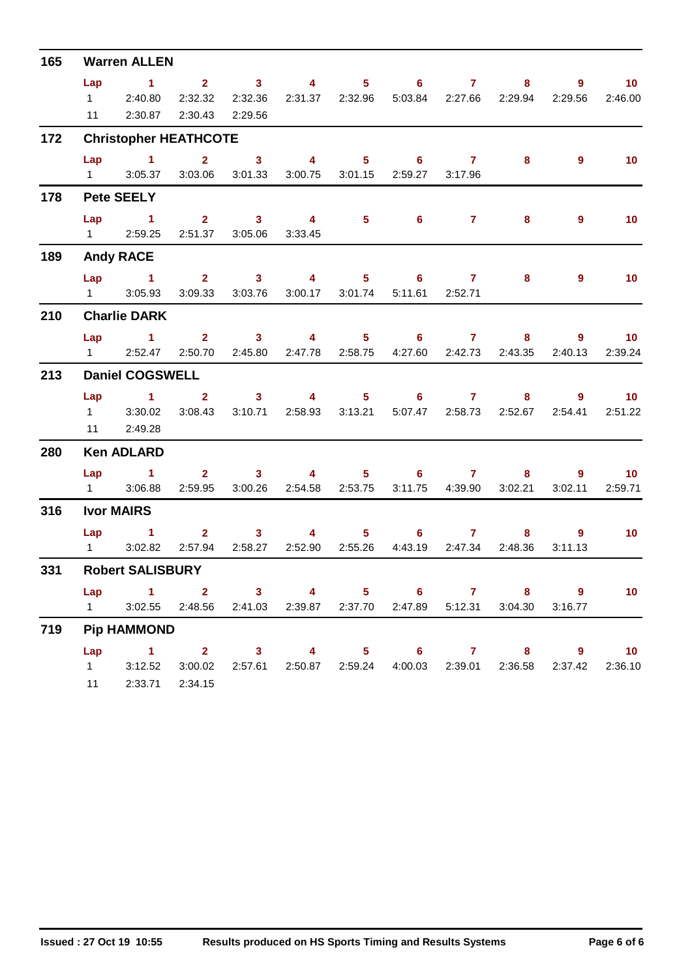| 165                                                  | <b>Warren ALLEN</b>                         |                                                                                   |                        |                                                                                                                                                                                                                                                                                                                                                                                                       |                           |  |                   |                 |         |                                                                                                                                                                                                                                                                                                                                                                                                                                                                                                                                          |  |  |  |  |
|------------------------------------------------------|---------------------------------------------|-----------------------------------------------------------------------------------|------------------------|-------------------------------------------------------------------------------------------------------------------------------------------------------------------------------------------------------------------------------------------------------------------------------------------------------------------------------------------------------------------------------------------------------|---------------------------|--|-------------------|-----------------|---------|------------------------------------------------------------------------------------------------------------------------------------------------------------------------------------------------------------------------------------------------------------------------------------------------------------------------------------------------------------------------------------------------------------------------------------------------------------------------------------------------------------------------------------------|--|--|--|--|
|                                                      | Lap                                         | $\sim$ $\sim$ 1.<br>1 2:40.80                                                     | 2 3 4 5 6 7<br>2:32.32 |                                                                                                                                                                                                                                                                                                                                                                                                       |                           |  |                   |                 |         | 9                                                                                                                                                                                                                                                                                                                                                                                                                                                                                                                                        |  |  |  |  |
|                                                      |                                             | 11 2:30.87                                                                        |                        | 2:32.36<br>2:30.43 2:29.56                                                                                                                                                                                                                                                                                                                                                                            | 2:31.37 2:32.96           |  |                   |                 |         |                                                                                                                                                                                                                                                                                                                                                                                                                                                                                                                                          |  |  |  |  |
| 172<br>178<br>189<br>210<br>213<br>280<br>316<br>331 |                                             | <b>Christopher HEATHCOTE</b>                                                      |                        |                                                                                                                                                                                                                                                                                                                                                                                                       |                           |  |                   |                 |         |                                                                                                                                                                                                                                                                                                                                                                                                                                                                                                                                          |  |  |  |  |
|                                                      |                                             | Lap 1 2 3 4 5 6 7                                                                 |                        |                                                                                                                                                                                                                                                                                                                                                                                                       |                           |  |                   |                 |         | $\sim$ 10<br>$8 - 1$<br>5:03.84 2:27.66 2:29.94<br>2:29.56<br>2:46.00<br>$\overline{9}$<br>10 <sup>°</sup><br>8<br>9<br>10 <sub>1</sub><br>8<br>$\overline{9}$<br>10<br>8<br>Lap 1 2 3 4 5 6 7 8 9 10<br>2:50.70  2:45.80  2:47.78  2:58.75  4:27.60  2:42.73  2:43.35<br>2:40.13<br>2:39.24<br>8 9 10<br>3:08.43 3:10.71 2:58.93 3:13.21 5:07.47 2:58.73 2:52.67 2:54.41<br>2:51.22<br>$\sim$ 10<br>8 9<br>3:02.21<br>3:02.11<br>2:59.71<br>$\overline{9}$<br>$\overline{10}$<br>8<br>2:48.36<br>3:11.13<br>Lap 1 2 3 4 5 6 7 8 9<br>10 |  |  |  |  |
|                                                      |                                             | 1 3:05.37 3:03.06 3:01.33 3:00.75 3:01.15 2:59.27 3:17.96                         |                        |                                                                                                                                                                                                                                                                                                                                                                                                       |                           |  |                   |                 |         |                                                                                                                                                                                                                                                                                                                                                                                                                                                                                                                                          |  |  |  |  |
|                                                      |                                             | <b>Pete SEELY</b>                                                                 |                        |                                                                                                                                                                                                                                                                                                                                                                                                       |                           |  |                   |                 |         |                                                                                                                                                                                                                                                                                                                                                                                                                                                                                                                                          |  |  |  |  |
|                                                      | Lap                                         | $1 \t2 \t3 \t4$                                                                   |                        |                                                                                                                                                                                                                                                                                                                                                                                                       |                           |  | $5\qquad 6$       | $\mathbf{7}$    |         |                                                                                                                                                                                                                                                                                                                                                                                                                                                                                                                                          |  |  |  |  |
|                                                      |                                             | 1 2:59.25 2:51.37 3:05.06 3:33.45                                                 |                        |                                                                                                                                                                                                                                                                                                                                                                                                       |                           |  |                   |                 |         |                                                                                                                                                                                                                                                                                                                                                                                                                                                                                                                                          |  |  |  |  |
|                                                      | <b>Andy RACE</b>                            |                                                                                   |                        |                                                                                                                                                                                                                                                                                                                                                                                                       |                           |  |                   |                 |         |                                                                                                                                                                                                                                                                                                                                                                                                                                                                                                                                          |  |  |  |  |
|                                                      |                                             | Lap 1 2 3 4 5 6 7                                                                 |                        |                                                                                                                                                                                                                                                                                                                                                                                                       |                           |  |                   |                 |         |                                                                                                                                                                                                                                                                                                                                                                                                                                                                                                                                          |  |  |  |  |
|                                                      |                                             | 1 3:05.93                                                                         | 3:09.33                |                                                                                                                                                                                                                                                                                                                                                                                                       | 3:03.76 3:00.17 3:01.74   |  |                   | 5:11.61 2:52.71 |         |                                                                                                                                                                                                                                                                                                                                                                                                                                                                                                                                          |  |  |  |  |
|                                                      |                                             | <b>Charlie DARK</b>                                                               |                        |                                                                                                                                                                                                                                                                                                                                                                                                       |                           |  |                   |                 |         |                                                                                                                                                                                                                                                                                                                                                                                                                                                                                                                                          |  |  |  |  |
|                                                      |                                             |                                                                                   |                        |                                                                                                                                                                                                                                                                                                                                                                                                       |                           |  |                   |                 |         |                                                                                                                                                                                                                                                                                                                                                                                                                                                                                                                                          |  |  |  |  |
|                                                      |                                             | 1 2:52.47                                                                         |                        |                                                                                                                                                                                                                                                                                                                                                                                                       |                           |  |                   |                 |         |                                                                                                                                                                                                                                                                                                                                                                                                                                                                                                                                          |  |  |  |  |
|                                                      | <b>Daniel COGSWELL</b><br>Lap 1 2 3 4 5 6 7 |                                                                                   |                        |                                                                                                                                                                                                                                                                                                                                                                                                       |                           |  |                   |                 |         |                                                                                                                                                                                                                                                                                                                                                                                                                                                                                                                                          |  |  |  |  |
|                                                      |                                             |                                                                                   |                        |                                                                                                                                                                                                                                                                                                                                                                                                       |                           |  |                   |                 |         |                                                                                                                                                                                                                                                                                                                                                                                                                                                                                                                                          |  |  |  |  |
|                                                      |                                             | $1 \quad 3:30.02$                                                                 |                        |                                                                                                                                                                                                                                                                                                                                                                                                       |                           |  |                   |                 |         |                                                                                                                                                                                                                                                                                                                                                                                                                                                                                                                                          |  |  |  |  |
|                                                      |                                             | 11 2:49.28                                                                        |                        |                                                                                                                                                                                                                                                                                                                                                                                                       |                           |  |                   |                 |         |                                                                                                                                                                                                                                                                                                                                                                                                                                                                                                                                          |  |  |  |  |
|                                                      |                                             | <b>Ken ADLARD</b>                                                                 |                        |                                                                                                                                                                                                                                                                                                                                                                                                       |                           |  |                   |                 |         |                                                                                                                                                                                                                                                                                                                                                                                                                                                                                                                                          |  |  |  |  |
|                                                      |                                             | Lap 1 2 3 4 5 6 7                                                                 |                        |                                                                                                                                                                                                                                                                                                                                                                                                       |                           |  |                   |                 |         |                                                                                                                                                                                                                                                                                                                                                                                                                                                                                                                                          |  |  |  |  |
|                                                      |                                             | 1 3:06.88                                                                         | 2:59.95                |                                                                                                                                                                                                                                                                                                                                                                                                       | 3:00.26 2:54.58 2:53.75   |  |                   | 3:11.75 4:39.90 |         |                                                                                                                                                                                                                                                                                                                                                                                                                                                                                                                                          |  |  |  |  |
|                                                      |                                             | <b>Ivor MAIRS</b>                                                                 |                        |                                                                                                                                                                                                                                                                                                                                                                                                       |                           |  |                   |                 |         |                                                                                                                                                                                                                                                                                                                                                                                                                                                                                                                                          |  |  |  |  |
|                                                      |                                             | $Lap$ 1                                                                           |                        | $\overline{\mathbf{2}}$ and $\overline{\mathbf{2}}$ and $\overline{\mathbf{2}}$ and $\overline{\mathbf{2}}$ and $\overline{\mathbf{2}}$ and $\overline{\mathbf{2}}$ and $\overline{\mathbf{2}}$ and $\overline{\mathbf{2}}$ and $\overline{\mathbf{2}}$ and $\overline{\mathbf{2}}$ and $\overline{\mathbf{2}}$ and $\overline{\mathbf{2}}$ and $\overline{\mathbf{2}}$ and $\overline{\mathbf{2}}$ a | $3 \t 4$                  |  | $5 \t\t 6 \t\t 7$ |                 |         |                                                                                                                                                                                                                                                                                                                                                                                                                                                                                                                                          |  |  |  |  |
|                                                      | $1 \quad \Box$                              | 3:02.82                                                                           | 2:57.94                |                                                                                                                                                                                                                                                                                                                                                                                                       | 2:58.27  2:52.90  2:55.26 |  |                   | 4:43.19 2:47.34 |         |                                                                                                                                                                                                                                                                                                                                                                                                                                                                                                                                          |  |  |  |  |
|                                                      |                                             | <b>Robert SALISBURY</b>                                                           |                        |                                                                                                                                                                                                                                                                                                                                                                                                       |                           |  |                   |                 |         |                                                                                                                                                                                                                                                                                                                                                                                                                                                                                                                                          |  |  |  |  |
|                                                      |                                             |                                                                                   |                        |                                                                                                                                                                                                                                                                                                                                                                                                       |                           |  |                   |                 |         |                                                                                                                                                                                                                                                                                                                                                                                                                                                                                                                                          |  |  |  |  |
|                                                      |                                             | 1 3:02.55 2:48.56 2:41.03 2:39.87 2:37.70 2:47.89 5:12.31                         |                        |                                                                                                                                                                                                                                                                                                                                                                                                       |                           |  |                   |                 | 3:04.30 | 3:16.77                                                                                                                                                                                                                                                                                                                                                                                                                                                                                                                                  |  |  |  |  |
| 719                                                  |                                             | <b>Pip HAMMOND</b>                                                                |                        |                                                                                                                                                                                                                                                                                                                                                                                                       |                           |  |                   |                 |         |                                                                                                                                                                                                                                                                                                                                                                                                                                                                                                                                          |  |  |  |  |
|                                                      |                                             | Lap 1 2 3 4 5 6 7 8 9 10                                                          |                        |                                                                                                                                                                                                                                                                                                                                                                                                       |                           |  |                   |                 |         |                                                                                                                                                                                                                                                                                                                                                                                                                                                                                                                                          |  |  |  |  |
|                                                      |                                             | 1 3:12.52 3:00.02 2:57.61 2:50.87 2:59.24 4:00.03 2:39.01 2:36.58 2:37.42 2:36.10 |                        |                                                                                                                                                                                                                                                                                                                                                                                                       |                           |  |                   |                 |         |                                                                                                                                                                                                                                                                                                                                                                                                                                                                                                                                          |  |  |  |  |
|                                                      |                                             | 11 2:33.71 2:34.15                                                                |                        |                                                                                                                                                                                                                                                                                                                                                                                                       |                           |  |                   |                 |         |                                                                                                                                                                                                                                                                                                                                                                                                                                                                                                                                          |  |  |  |  |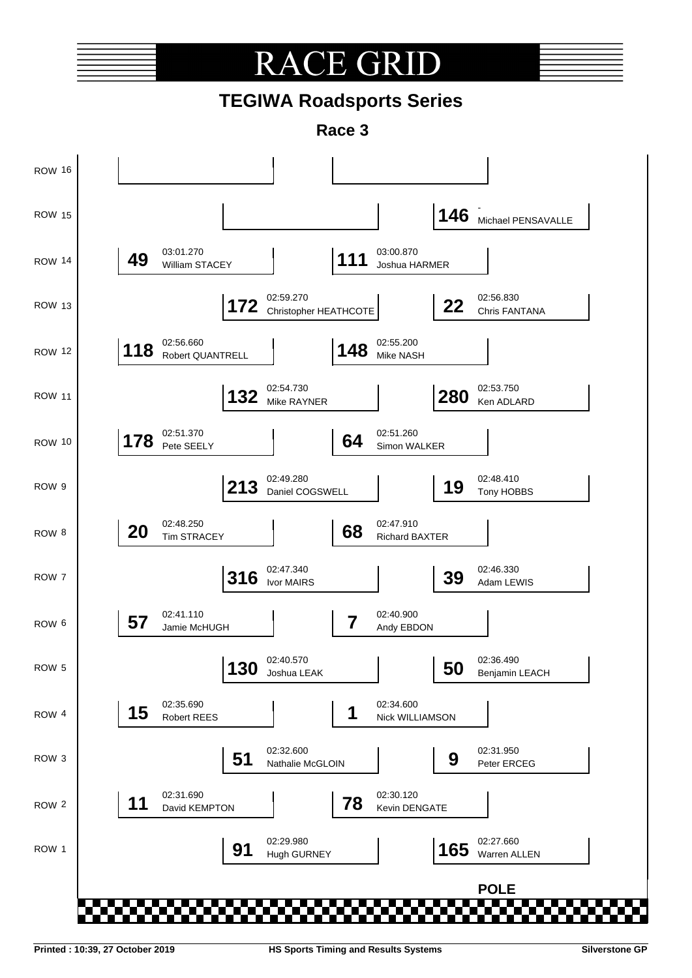# **RACE GR**

## **TEGIWA Roadsports Series**

**Race 3**

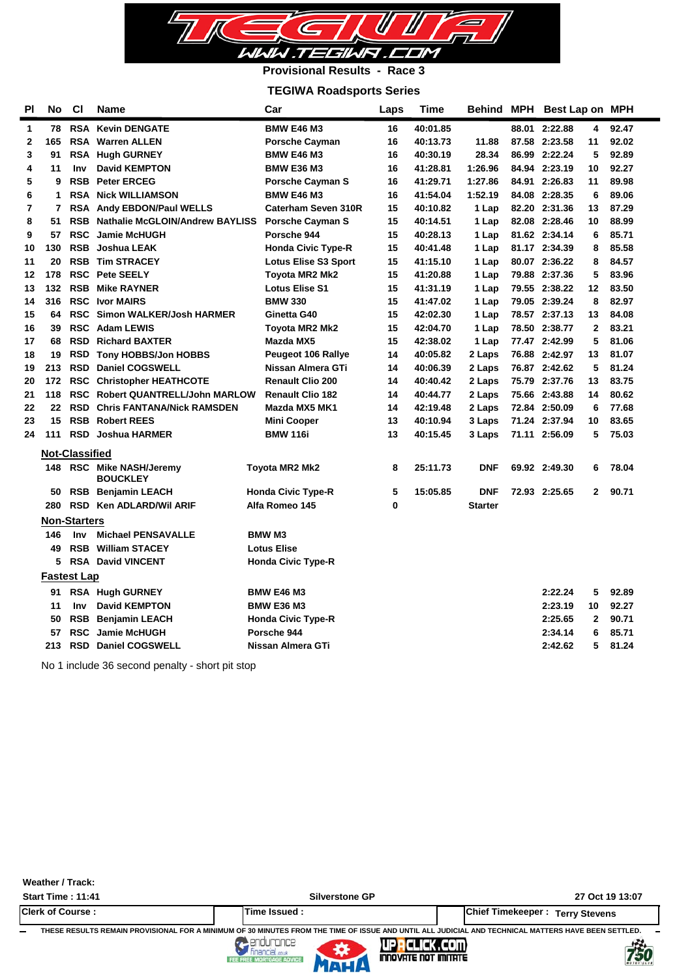

#### **Provisional Results - Race 3**

### **TEGIWA Roadsports Series**

| ΡI             | No  | <b>CI</b>             | Name                                    | Car                         | Laps | Time     | Behind         | MPH Best Lap on MPH |                |       |  |
|----------------|-----|-----------------------|-----------------------------------------|-----------------------------|------|----------|----------------|---------------------|----------------|-------|--|
| 1              | 78  |                       | <b>RSA Kevin DENGATE</b>                | <b>BMW E46 M3</b>           | 16   | 40:01.85 |                | 88.01 2:22.88       | 4              | 92.47 |  |
| 2              | 165 | <b>RSA</b>            | <b>Warren ALLEN</b>                     | <b>Porsche Cayman</b>       | 16   | 40:13.73 | 11.88          | 87.58 2:23.58       | 11             | 92.02 |  |
| 3              | 91  |                       | RSA Hugh GURNEY                         | <b>BMW E46 M3</b>           | 16   | 40:30.19 | 28.34          | 86.99 2:22.24       | 5              | 92.89 |  |
| 4              | 11  | <b>Inv</b>            | <b>David KEMPTON</b>                    | <b>BMW E36 M3</b>           | 16   | 41:28.81 | 1:26.96        | 84.94 2:23.19       | 10             | 92.27 |  |
| 5              | 9   | <b>RSB</b>            | <b>Peter ERCEG</b>                      | <b>Porsche Cayman S</b>     | 16   | 41:29.71 | 1:27.86        | 84.91 2:26.83       | 11             | 89.98 |  |
| 6              | 1   |                       | <b>RSA Nick WILLIAMSON</b>              | <b>BMW E46 M3</b>           | 16   | 41:54.04 | 1:52.19        | 84.08 2:28.35       | 6              | 89.06 |  |
| $\overline{7}$ | 7   |                       | RSA Andy EBDON/Paul WELLS               | Caterham Seven 310R         | 15   | 40:10.82 | 1 Lap          | 82.20 2:31.36       | 13             | 87.29 |  |
| 8              | 51  | <b>RSB</b>            | <b>Nathalie McGLOIN/Andrew BAYLISS</b>  | <b>Porsche Cayman S</b>     | 15   | 40:14.51 | 1 Lap          | 82.08 2:28.46       | 10             | 88.99 |  |
| 9              | 57  | <b>RSC</b>            | <b>Jamie McHUGH</b>                     | Porsche 944                 | 15   | 40:28.13 | 1 Lap          | 81.62 2:34.14       | 6              | 85.71 |  |
| 10             | 130 | <b>RSB</b>            | <b>Joshua LEAK</b>                      | <b>Honda Civic Type-R</b>   | 15   | 40:41.48 | 1 Lap          | 81.17 2:34.39       | 8              | 85.58 |  |
| 11             | 20  |                       | <b>RSB Tim STRACEY</b>                  | <b>Lotus Elise S3 Sport</b> | 15   | 41:15.10 | 1 Lap          | 80.07 2:36.22       | 8              | 84.57 |  |
| 12             | 178 |                       | <b>RSC</b> Pete SEELY                   | Toyota MR2 Mk2              | 15   | 41:20.88 | 1 Lap          | 79.88 2:37.36       | 5              | 83.96 |  |
| 13             | 132 |                       | <b>RSB Mike RAYNER</b>                  | <b>Lotus Elise S1</b>       | 15   | 41:31.19 | 1 Lap          | 79.55 2:38.22       | 12             | 83.50 |  |
| 14             | 316 |                       | <b>RSC Ivor MAIRS</b>                   | <b>BMW 330</b>              | 15   | 41:47.02 | 1 Lap          | 79.05 2:39.24       | 8              | 82.97 |  |
| 15             | 64  | <b>RSC</b>            | <b>Simon WALKER/Josh HARMER</b>         | Ginetta G40                 | 15   | 42:02.30 | 1 Lap          | 78.57 2:37.13       | 13             | 84.08 |  |
| 16             | 39  |                       | <b>RSC</b> Adam LEWIS                   | Toyota MR2 Mk2              | 15   | 42:04.70 | 1 Lap          | 78.50 2:38.77       | $\overline{2}$ | 83.21 |  |
| 17             | 68  | <b>RSD</b>            | <b>Richard BAXTER</b>                   | Mazda MX5                   | 15   | 42:38.02 | 1 Lap          | 77.47 2:42.99       | 5              | 81.06 |  |
| 18             | 19  | <b>RSD</b>            | <b>Tony HOBBS/Jon HOBBS</b>             | <b>Peugeot 106 Rallye</b>   | 14   | 40:05.82 | 2 Laps         | 76.88 2:42.97       | 13             | 81.07 |  |
| 19             | 213 | <b>RSD</b>            | <b>Daniel COGSWELL</b>                  | Nissan Almera GTi           | 14   | 40:06.39 | 2 Laps         | 76.87 2:42.62       | 5              | 81.24 |  |
| 20             | 172 | <b>RSC</b>            | <b>Christopher HEATHCOTE</b>            | <b>Renault Clio 200</b>     | 14   | 40:40.42 | 2 Laps         | 75.79 2:37.76       | 13             | 83.75 |  |
| 21             | 118 |                       | <b>RSC Robert QUANTRELL/John MARLOW</b> | <b>Renault Clio 182</b>     | 14   | 40:44.77 | 2 Laps         | 75.66 2:43.88       | 14             | 80.62 |  |
| 22             | 22  | <b>RSD</b>            | <b>Chris FANTANA/Nick RAMSDEN</b>       | Mazda MX5 MK1               | 14   | 42:19.48 | 2 Laps         | 72.84 2:50.09       | 6              | 77.68 |  |
| 23             | 15  |                       | <b>RSB Robert REES</b>                  | <b>Mini Cooper</b>          | 13   | 40:10.94 | 3 Laps         | 71.24 2:37.94       | 10             | 83.65 |  |
| 24             | 111 |                       | <b>RSD</b> Joshua HARMER                | <b>BMW 116i</b>             | 13   | 40:15.45 | 3 Laps         | 71.11 2:56.09       | 5              | 75.03 |  |
|                |     | <b>Not-Classified</b> |                                         |                             |      |          |                |                     |                |       |  |
|                | 148 |                       | <b>RSC</b> Mike NASH/Jeremy             | Toyota MR2 Mk2              | 8    | 25:11.73 | <b>DNF</b>     | 69.92 2:49.30       | 6              | 78.04 |  |
|                |     |                       | <b>BOUCKLEY</b>                         |                             |      |          |                |                     |                |       |  |
|                | 50  |                       | <b>RSB</b> Benjamin LEACH               | <b>Honda Civic Type-R</b>   | 5    | 15:05.85 | <b>DNF</b>     | 72.93 2:25.65       | $\mathbf{2}$   | 90.71 |  |
|                | 280 |                       | RSD Ken ADLARD/Wil ARIF                 | Alfa Romeo 145              | 0    |          | <b>Starter</b> |                     |                |       |  |
|                |     | <b>Non-Starters</b>   |                                         |                             |      |          |                |                     |                |       |  |
|                | 146 | <b>Inv</b>            | <b>Michael PENSAVALLE</b>               | <b>BMW M3</b>               |      |          |                |                     |                |       |  |
|                | 49  | <b>RSB</b>            | <b>William STACEY</b>                   | <b>Lotus Elise</b>          |      |          |                |                     |                |       |  |
|                | 5   | <b>RSA</b>            | <b>David VINCENT</b>                    | <b>Honda Civic Type-R</b>   |      |          |                |                     |                |       |  |
|                |     | <b>Fastest Lap</b>    |                                         |                             |      |          |                |                     |                |       |  |
|                | 91  |                       | <b>RSA Hugh GURNEY</b>                  | <b>BMW E46 M3</b>           |      |          |                | 2:22.24             | 5              | 92.89 |  |
|                | 11  | <b>Inv</b>            | <b>David KEMPTON</b>                    | <b>BMW E36 M3</b>           |      |          |                | 2:23.19             | 10             | 92.27 |  |
|                | 50  |                       | <b>RSB</b> Benjamin LEACH               | <b>Honda Civic Type-R</b>   |      |          |                | 2:25.65             | $\overline{2}$ | 90.71 |  |
|                | 57  | <b>RSC</b>            | <b>Jamie McHUGH</b>                     | Porsche 944                 |      |          |                | 2:34.14             | 6              | 85.71 |  |
|                | 213 |                       | <b>RSD</b> Daniel COGSWELL              | Nissan Almera GTi           |      |          |                | 2:42.62             | 5              | 81.24 |  |
|                |     |                       |                                         |                             |      |          |                |                     |                |       |  |

No 1 include 36 second penalty - short pit stop

| Weather / Track:         |                                                                         |                                                                                                                                                                                    |
|--------------------------|-------------------------------------------------------------------------|------------------------------------------------------------------------------------------------------------------------------------------------------------------------------------|
| <b>Start Time: 11:41</b> | <b>Silverstone GP</b>                                                   | 27 Oct 19 13:07                                                                                                                                                                    |
| <b>Clerk of Course:</b>  | Time Issued:                                                            | <b>Chief Timekeeper:</b><br><b>Terry Stevens</b>                                                                                                                                   |
| -                        | <b><i>Financial couk</i></b><br>FEE FREE MORTGAGE ADVICE<br><b>MLIA</b> | THESE RESULTS REMAIN PROVISIONAL FOR A MINIMUM OF 30 MINUTES FROM THE TIME OF ISSUE AND UNTIL ALL JUDICIAL AND TECHNICAL MATTERS HAVE BEEN SETTLED.<br>750<br>INNOVATE NOT IMITATE |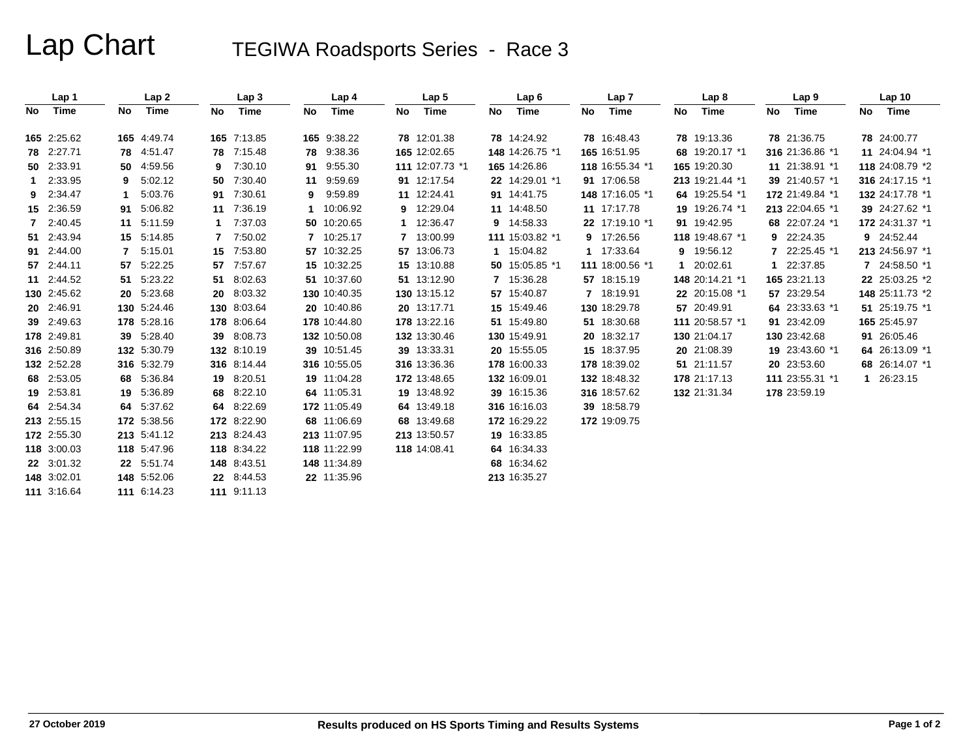# Lap Chart TEGIWA Roadsports Series - Race 3

|    | Lap 1       |              | Lap2        |    | Lap <sub>3</sub> |    | Lap 4        |    | Lap <sub>5</sub> |    | Lap6            |    | Lap <sub>7</sub> |    | Lap <sub>8</sub> |    | Lap 9           |    | Lap <sub>10</sub> |
|----|-------------|--------------|-------------|----|------------------|----|--------------|----|------------------|----|-----------------|----|------------------|----|------------------|----|-----------------|----|-------------------|
| No | Time        | No           | Time        | No | Time             | No | Time         | No | Time             | No | <b>Time</b>     | No | Time             | No | Time             | No | Time            | No | Time              |
|    | 165 2:25.62 |              | 165 4:49.74 |    | 165 7:13.85      |    | 165 9:38.22  |    | 78 12:01.38      |    | 78 14:24.92     |    | 78 16:48.43      |    | 78 19:13.36      |    | 78 21:36.75     |    | 78 24:00.77       |
|    | 78 2:27.71  |              | 78 4:51.47  |    | 78 7:15.48       | 78 | 9:38.36      |    | 165 12:02.65     |    | 148 14:26.75 *1 |    | 165 16:51.95     |    | 68 19:20.17 *1   |    | 316 21:36.86 *1 |    | 11 24:04.94 *1    |
|    | 50 2:33.91  |              | 50 4:59.56  | 9  | 7:30.10          | 91 | 9:55.30      |    | 111 12:07.73 *1  |    | 165 14:26.86    |    | 118 16:55.34 *1  |    | 165 19:20.30     |    | 11 21:38.91 *1  |    | 118 24:08.79 *2   |
| 1. | 2:33.95     | 9            | 5:02.12     | 50 | 7:30.40          | 11 | 9:59.69      |    | 91 12:17.54      |    | 22 14:29.01 *1  |    | 91 17:06.58      |    | 213 19:21.44 *1  |    | 39 21:40.57 *1  |    | 316 24:17.15 *1   |
|    | 9 2:34.47   | 1            | 5:03.76     |    | 91 7:30.61       | 9  | 9:59.89      |    | 11 12:24.41      |    | 91 14:41.75     |    | 148 17:16.05 *1  |    | 64 19:25.54 *1   |    | 172 21:49.84 *1 |    | 132 24:17.78 *1   |
|    | 15 2:36.59  |              | 91 5:06.82  |    | 11 7:36.19       |    | 10:06.92     |    | 9 12:29.04       |    | 11 14:48.50     |    | 11 17:17.78      |    | 19 19:26.74 *1   |    | 213 22:04.65 *1 |    | 39 24:27.62 *1    |
|    | 7 2:40.45   |              | 11 5:11.59  |    | 7:37.03          |    | 50 10:20.65  |    | 1 12:36.47       |    | 9 14:58.33      |    | 22 17:19.10 *1   |    | 91 19:42.95      |    | 68 22:07.24 *1  |    | 172 24:31.37 *1   |
|    | 51 2:43.94  |              | 15 5:14.85  | 7  | 7:50.02          |    | 7 10:25.17   |    | 7 13:00.99       |    | 111 15:03.82 *1 |    | 9 17:26.56       |    | 118 19:48.67 *1  |    | 9 22:24.35      |    | 9 24:52.44        |
|    | 91 2:44.00  | $\mathbf{7}$ | 5:15.01     |    | 15 7:53.80       |    | 57 10:32.25  |    | 57 13:06.73      |    | 1 15:04.82      |    | 1 17:33.64       |    | 9 19:56.12       |    | 22:25.45 *1     |    | 213 24:56.97 *1   |
|    | 57 2:44.11  |              | 57 5:22.25  | 57 | 7:57.67          |    | 15 10:32.25  |    | 15 13:10.88      |    | 50 15:05.85 *1  |    | 111 18:00.56 *1  |    | 1 20:02.61       | 1. | 22:37.85        |    | 7 24:58.50 *1     |
|    | 11 2:44.52  |              | 51 5:23.22  |    | 51 8:02.63       |    | 51 10:37.60  |    | 51 13:12.90      |    | 7 15:36.28      |    | 57 18:15.19      |    | 148 20:14.21 *1  |    | 165 23:21.13    |    | 22 25:03.25 *2    |
|    | 130 2:45.62 |              | 20 5:23.68  |    | 20 8:03.32       |    | 130 10:40.35 |    | 130 13:15.12     |    | 57 15:40.87     |    | 7 18:19.91       |    | 22 20:15.08 *1   |    | 57 23:29.54     |    | 148 25:11.73 *2   |
|    | 20 2:46.91  |              | 130 5:24.46 |    | 130 8:03.64      |    | 20 10:40.86  |    | 20 13:17.71      |    | 15 15:49.46     |    | 130 18:29.78     |    | 57 20:49.91      |    | 64 23:33.63 *1  |    | 51 25:19.75 *1    |
|    | 39 2:49.63  |              | 178 5:28.16 |    | 178 8:06.64      |    | 178 10:44.80 |    | 178 13:22.16     |    | 51 15:49.80     |    | 51 18:30.68      |    | 111 20:58.57 *1  |    | 91 23:42.09     |    | 165 25:45.97      |
|    | 178 2:49.81 |              | 39 5:28.40  |    | 39 8:08.73       |    | 132 10:50.08 |    | 132 13:30.46     |    | 130 15:49.91    |    | 20 18:32.17      |    | 130 21:04.17     |    | 130 23:42.68    |    | 91 26:05.46       |
|    | 316 2:50.89 |              | 132 5:30.79 |    | 132 8:10.19      |    | 39 10:51.45  |    | 39 13:33.31      |    | 20 15:55.05     |    | 15 18:37.95      |    | 20 21:08.39      |    | 19 23:43.60 *1  |    | 64 26:13.09 *1    |
|    | 132 2:52.28 |              | 316 5:32.79 |    | 316 8:14.44      |    | 316 10:55.05 |    | 316 13:36.36     |    | 178 16:00.33    |    | 178 18:39.02     |    | 51 21:11.57      |    | 20 23:53.60     |    | 68 26:14.07 *1    |
|    | 68 2:53.05  |              | 68 5:36.84  |    | 19 8:20.51       |    | 19 11:04.28  |    | 172 13:48.65     |    | 132 16:09.01    |    | 132 18:48.32     |    | 178 21:17.13     |    | 111 23:55.31 *1 |    | 1 26:23.15        |
|    | 19 2:53.81  |              | 19 5:36.89  |    | 68 8:22.10       |    | 64 11:05.31  |    | 19 13:48.92      |    | 39 16:15.36     |    | 316 18:57.62     |    | 132 21:31.34     |    | 178 23:59.19    |    |                   |
|    | 64 2:54.34  |              | 64 5:37.62  | 64 | 8:22.69          |    | 172 11:05.49 |    | 64 13:49.18      |    | 316 16:16.03    |    | 39 18:58.79      |    |                  |    |                 |    |                   |
|    | 213 2:55.15 |              | 172 5:38.56 |    | 172 8:22.90      |    | 68 11:06.69  |    | 68 13:49.68      |    | 172 16:29.22    |    | 172 19:09.75     |    |                  |    |                 |    |                   |
|    | 172 2:55.30 |              | 213 5:41.12 |    | 213 8:24.43      |    | 213 11:07.95 |    | 213 13:50.57     |    | 19 16:33.85     |    |                  |    |                  |    |                 |    |                   |
|    | 118 3:00.03 |              | 118 5:47.96 |    | 118 8:34.22      |    | 118 11:22.99 |    | 118 14:08.41     |    | 64 16:34.33     |    |                  |    |                  |    |                 |    |                   |
|    | 22 3:01.32  |              | 22 5:51.74  |    | 148 8:43.51      |    | 148 11:34.89 |    |                  |    | 68 16:34.62     |    |                  |    |                  |    |                 |    |                   |
|    | 148 3:02.01 |              | 148 5:52.06 |    | 22 8:44.53       |    | 22 11:35.96  |    |                  |    | 213 16:35.27    |    |                  |    |                  |    |                 |    |                   |
|    | 111 3:16.64 |              | 111 6:14.23 |    | 111 9:11.13      |    |              |    |                  |    |                 |    |                  |    |                  |    |                 |    |                   |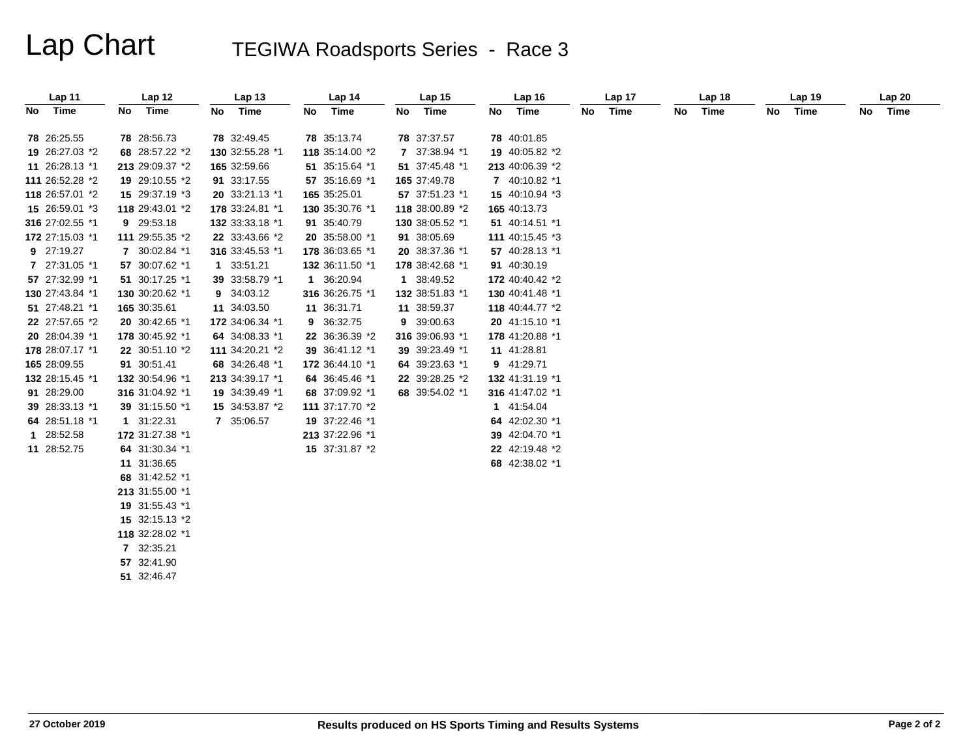# Lap Chart TEGIWA Roadsports Series - Race 3

| Lap 11          | Lap <sub>12</sub> | Lap <sub>13</sub> | Lap <sub>14</sub> | Lap 15          | Lap <sub>16</sub> | Lap 17     | Lap 18     | Lap <sub>19</sub> | Lap20   |
|-----------------|-------------------|-------------------|-------------------|-----------------|-------------------|------------|------------|-------------------|---------|
| No Time         | Time<br>No l      | Time<br>No l      | Time<br>No.       | No Time         | No Time           | Time<br>No | Time<br>No | Time<br>No        | No Time |
| 78 26:25.55     | 78 28:56.73       | 78 32:49.45       | 78 35:13.74       | 78 37:37.57     | 78 40:01.85       |            |            |                   |         |
| 19 26:27.03 *2  | 68 28:57.22 *2    | 130 32:55.28 *1   | 118 35:14.00 *2   | 7 37:38.94 *1   | 19 40:05.82 *2    |            |            |                   |         |
| 11 26:28.13 *1  | 213 29:09.37 *2   | 165 32:59.66      | 51 35:15.64 *1    | 51 37:45.48 *1  | 213 40:06.39 *2   |            |            |                   |         |
| 111 26:52.28 *2 | 19 29:10.55 *2    | 91 33:17.55       | 57 35:16.69 *1    | 165 37:49.78    | 7 40:10.82 *1     |            |            |                   |         |
| 118 26:57.01 *2 | 15 29:37.19 *3    | 20 33:21.13 *1    | 165 35:25.01      | 57 37:51.23 *1  | 15 40:10.94 *3    |            |            |                   |         |
| 15 26:59.01 *3  | 118 29:43.01 *2   | 178 33:24.81 *1   | 130 35:30.76 *1   | 118 38:00.89 *2 | 165 40:13.73      |            |            |                   |         |
| 316 27:02.55 *1 | 9 29:53.18        | 132 33:33.18 *1   | 91 35:40.79       | 130 38:05.52 *1 | 51 40:14.51 *1    |            |            |                   |         |
| 172 27:15.03 *1 | 111 29:55.35 *2   | 22 33:43.66 *2    | 20 35:58.00 *1    | 91 38:05.69     | 111 40:15.45 *3   |            |            |                   |         |
| 9 27:19.27      | 7 30:02.84 *1     | 316 33:45.53 *1   | 178 36:03.65 *1   | 20 38:37.36 *1  | 57 40:28.13 *1    |            |            |                   |         |
| 7 27:31.05 *1   | 57 30:07.62 *1    | 1 33:51.21        | 132 36:11.50 *1   | 178 38:42.68 *1 | 91 40:30.19       |            |            |                   |         |
| 57 27:32.99 *1  | 51 30:17.25 *1    | 39 33:58.79 *1    | 1 36:20.94        | 1 38:49.52      | 172 40:40.42 *2   |            |            |                   |         |
| 130 27:43.84 *1 | 130 30:20.62 *1   | 9 34:03.12        | 316 36:26.75 *1   | 132 38:51.83 *1 | 130 40:41.48 *1   |            |            |                   |         |
| 51 27:48.21 *1  | 165 30:35.61      | 11 34:03.50       | 11 36:31.71       | 11 38:59.37     | 118 40:44.77 *2   |            |            |                   |         |
| 22 27:57.65 *2  | 20 30:42.65 *1    | 172 34:06.34 *1   | 9 36:32.75        | 9 39:00.63      | 20 41:15.10 *1    |            |            |                   |         |
| 20 28:04.39 *1  | 178 30:45.92 *1   | 64 34:08.33 *1    | 22 36:36.39 *2    | 316 39:06.93 *1 | 178 41:20.88 *1   |            |            |                   |         |
| 178 28:07.17 *1 | 22 30:51.10 *2    | 111 34:20.21 *2   | 39 36:41.12 *1    | 39 39:23.49 *1  | 11 41:28.81       |            |            |                   |         |
| 165 28:09.55    | 91 30:51.41       | 68 34:26.48 *1    | 172 36:44.10 *1   | 64 39:23.63 *1  | 9 41:29.71        |            |            |                   |         |
| 132 28:15.45 *1 | 132 30:54.96 *1   | 213 34:39.17 *1   | 64 36:45.46 *1    | 22 39:28.25 *2  | 132 41:31.19 *1   |            |            |                   |         |
| 91 28:29.00     | 316 31:04.92 *1   | 19 34:39.49 *1    | 68 37:09.92 *1    | 68 39:54.02 *1  | 316 41:47.02 *1   |            |            |                   |         |
| 39 28:33.13 *1  | 39 31:15.50 *1    | 15 34:53.87 *2    | 111 37:17.70 *2   |                 | 1 41:54.04        |            |            |                   |         |
| 64 28:51.18 *1  | 1 31:22.31        | 7 35:06.57        | 19 37:22.46 *1    |                 | 64 42:02.30 *1    |            |            |                   |         |
| 1 28:52.58      | 172 31:27.38 *1   |                   | 213 37:22.96 *1   |                 | 39 42:04.70 *1    |            |            |                   |         |
| 11 28:52.75     | 64 31:30.34 *1    |                   | 15 37:31.87 *2    |                 | 22 42:19.48 *2    |            |            |                   |         |
|                 | 11 31:36.65       |                   |                   |                 | 68 42:38.02 *1    |            |            |                   |         |
|                 | 68 31:42.52 *1    |                   |                   |                 |                   |            |            |                   |         |
|                 | 213 31:55.00 *1   |                   |                   |                 |                   |            |            |                   |         |
|                 | 19 31:55.43 *1    |                   |                   |                 |                   |            |            |                   |         |
|                 | 15 32:15.13 *2    |                   |                   |                 |                   |            |            |                   |         |
|                 | 118 32:28.02 *1   |                   |                   |                 |                   |            |            |                   |         |
|                 | 7 32:35.21        |                   |                   |                 |                   |            |            |                   |         |
|                 | 57 32:41.90       |                   |                   |                 |                   |            |            |                   |         |
|                 | 51 32:46.47       |                   |                   |                 |                   |            |            |                   |         |
|                 |                   |                   |                   |                 |                   |            |            |                   |         |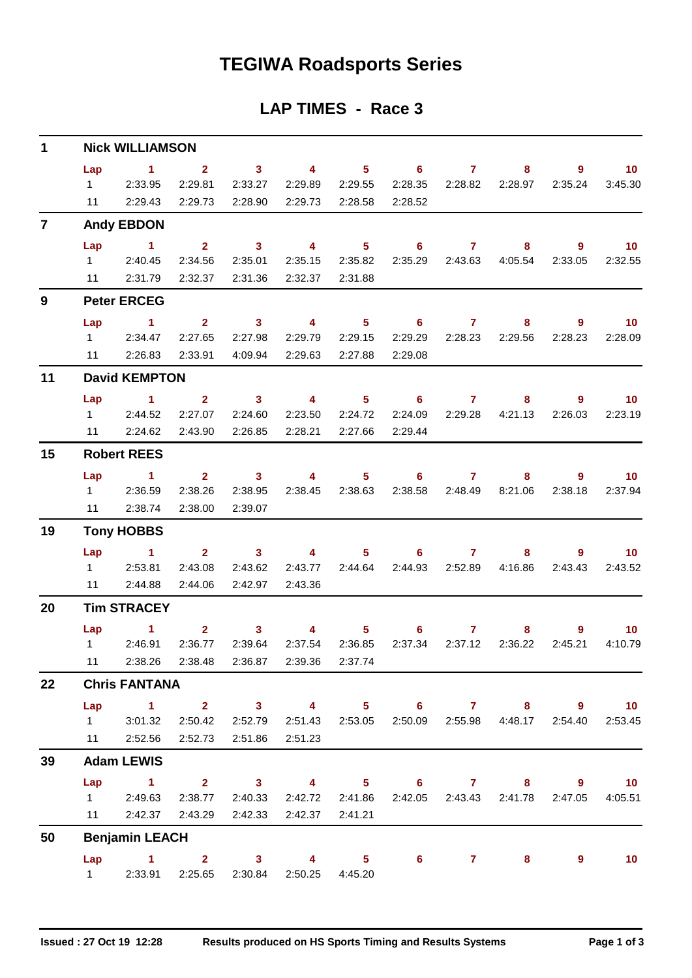# **TEGIWA Roadsports Series**

### **LAP TIMES - Race 3**

| $\mathbf{1}$   | <b>Nick WILLIAMSON</b> |                                                                           |                           |                           |                                                                        |                |                       |                         |                 |              |                            |  |  |  |  |
|----------------|------------------------|---------------------------------------------------------------------------|---------------------------|---------------------------|------------------------------------------------------------------------|----------------|-----------------------|-------------------------|-----------------|--------------|----------------------------|--|--|--|--|
|                | Lap<br>$1 \quad \Box$  | $\sim$ 1<br>2:33.95                                                       | $\overline{2}$<br>2:29.81 | 3 <sup>1</sup><br>2:33.27 | $\overline{\mathbf{4}}$<br>2:29.89                                     | 2:29.55        | $5 \t\t 6$<br>2:28.35 | $\mathbf{7}$<br>2:28.82 | 8<br>2:28.97    | 9<br>2:35.24 | 10 <sup>°</sup><br>3:45.30 |  |  |  |  |
|                | 11                     | 2:29.43                                                                   | 2:29.73                   | 2:28.90                   | 2:29.73                                                                | 2:28.58        | 2:28.52               |                         |                 |              |                            |  |  |  |  |
| $\overline{7}$ |                        | <b>Andy EBDON</b>                                                         |                           |                           |                                                                        |                |                       |                         |                 |              |                            |  |  |  |  |
|                | Lap                    | $\blacktriangleleft$                                                      | 2 <sup>1</sup>            | $\overline{\mathbf{3}}$   | $\overline{4}$                                                         | 5 <sub>1</sub> | 6                     | $\mathbf{7}$            | 8               | $9^{\circ}$  | 10 <sub>1</sub>            |  |  |  |  |
|                |                        | 1 2:40.45                                                                 | 2:34.56                   | 2:35.01                   | 2:35.15                                                                | 2:35.82        |                       | 2:35.29 2:43.63         | 4:05.54         | 2:33.05      | 2:32.55                    |  |  |  |  |
|                | 11                     | 2:31.79                                                                   | 2:32.37                   | 2:31.36                   | 2:32.37                                                                | 2:31.88        |                       |                         |                 |              |                            |  |  |  |  |
| 9              |                        | <b>Peter ERCEG</b>                                                        |                           |                           |                                                                        |                |                       |                         |                 |              |                            |  |  |  |  |
|                | Lap                    | $\sim$ 1.                                                                 | $2^{\circ}$               | $\sim$ 3                  | $\overline{4}$                                                         |                | $5 \t\t 6 \t\t 7$     |                         | 8               | 9            | 10 <sup>°</sup>            |  |  |  |  |
|                | $1 \quad \Box$         | 2:34.47                                                                   | 2:27.65                   | 2:27.98                   | 2:29.79                                                                | 2:29.15        | 2:29.29               | 2:28.23                 | 2:29.56         | 2:28.23      | 2:28.09                    |  |  |  |  |
|                | 11                     | 2:26.83                                                                   | 2:33.91                   | 4:09.94                   | 2:29.63                                                                | 2:27.88        | 2:29.08               |                         |                 |              |                            |  |  |  |  |
| 11             |                        | <b>David KEMPTON</b>                                                      |                           |                           |                                                                        |                |                       |                         |                 |              |                            |  |  |  |  |
|                | Lap                    | $\mathbf{1}$                                                              | 2 <sup>1</sup>            | 3 <sup>1</sup>            | $\overline{4}$                                                         | 5 <sub>1</sub> | 6                     | $\mathbf{7}$            | 8               | $9^{\circ}$  | 10 <sub>1</sub>            |  |  |  |  |
|                |                        | 12:44.52                                                                  | 2:27.07                   | 2:24.60                   | 2:23.50                                                                | 2:24.72        | 2:24.09               |                         | 2:29.28 4:21.13 | 2:26.03      | 2:23.19                    |  |  |  |  |
|                | 11                     | 2:24.62                                                                   | 2:43.90                   | 2:26.85                   | 2:28.21                                                                | 2:27.66        | 2:29.44               |                         |                 |              |                            |  |  |  |  |
| 15             |                        | <b>Robert REES</b>                                                        |                           |                           |                                                                        |                |                       |                         |                 |              |                            |  |  |  |  |
|                | Lap                    | $\sim$ $\sim$ 1.                                                          | 2 <sup>7</sup>            | $\sim$ 3                  | $\overline{4}$                                                         |                | $5 \t\t 6$            | $\mathbf{7}$            | 8               | 9            | 10 <sup>°</sup>            |  |  |  |  |
|                | $1 \quad \Box$         | 2:36.59                                                                   | 2:38.26                   | 2:38.95                   | 2:38.45                                                                | 2:38.63        | 2:38.58               | 2:48.49                 | 8:21.06         | 2:38.18      | 2:37.94                    |  |  |  |  |
|                | 11                     | 2:38.74                                                                   | 2:38.00                   | 2:39.07                   |                                                                        |                |                       |                         |                 |              |                            |  |  |  |  |
| 19             | <b>Tony HOBBS</b>      |                                                                           |                           |                           |                                                                        |                |                       |                         |                 |              |                            |  |  |  |  |
|                | Lap                    | $\blacktriangleleft$                                                      | $2^{\circ}$               | 3 <sup>7</sup>            | $\overline{\mathbf{4}}$                                                | 5 <sub>1</sub> | 6                     | $\mathbf{7}$            | 8.              | $9^{\circ}$  | 10 <sup>°</sup>            |  |  |  |  |
|                |                        | 1 2:53.81                                                                 | 2:43.08                   | 2:43.62                   | 2:43.77                                                                | 2:44.64        |                       | 2:44.93 2:52.89         | 4:16.86         | 2:43.43      | 2:43.52                    |  |  |  |  |
|                | 11                     | 2:44.88                                                                   | 2:44.06                   | 2:42.97                   | 2:43.36                                                                |                |                       |                         |                 |              |                            |  |  |  |  |
| 20             |                        | <b>Tim STRACEY</b>                                                        |                           |                           |                                                                        |                |                       |                         |                 |              |                            |  |  |  |  |
|                |                        | <b>Lap</b><br>1.                                                          | 2 <sup>1</sup>            | 3 <sup>7</sup>            | $\overline{4}$                                                         | $5 -$          | 6                     | $\mathbf{7}$            | 8               | 9            | 10 <sup>°</sup>            |  |  |  |  |
|                | $1 \quad \Box$         | 2:46.91                                                                   | 2:36.77                   | 2:39.64                   | 2:37.54                                                                | 2:36.85        | 2:37.34               | 2:37.12                 | 2:36.22         | 2:45.21      | 4:10.79                    |  |  |  |  |
|                | 11                     |                                                                           |                           |                           | 2:38.26 2:38.48 2:36.87 2:39.36                                        | 2:37.74        |                       |                         |                 |              |                            |  |  |  |  |
| 22             | <b>Chris FANTANA</b>   |                                                                           |                           |                           |                                                                        |                |                       |                         |                 |              |                            |  |  |  |  |
|                |                        | Lap 1 2 3 4 5 6 7 8 9 10                                                  |                           |                           |                                                                        |                |                       |                         |                 |              |                            |  |  |  |  |
|                |                        | 1 3:01.32                                                                 | 2:50.42                   |                           | 2:52.79  2:51.43  2:53.05  2:50.09  2:55.98  4:48.17  2:54.40  2:53.45 |                |                       |                         |                 |              |                            |  |  |  |  |
|                |                        | 11 2:52.56 2:52.73 2:51.86                                                |                           |                           | 2:51.23                                                                |                |                       |                         |                 |              |                            |  |  |  |  |
| 39             | <b>Adam LEWIS</b>      |                                                                           |                           |                           |                                                                        |                |                       |                         |                 |              |                            |  |  |  |  |
|                | Lap                    | 1 2 3 4 5 6 7 8 9 10                                                      |                           |                           |                                                                        |                |                       |                         |                 |              |                            |  |  |  |  |
|                |                        | 1 2:49.63 2:38.77 2:40.33 2:42.72 2:41.86 2:42.05 2:43.43 2:41.78 2:47.05 |                           |                           |                                                                        |                |                       |                         |                 |              | 4:05.51                    |  |  |  |  |
|                |                        | 11 2:42.37 2:43.29                                                        |                           |                           | 2:42.33 2:42.37 2:41.21                                                |                |                       |                         |                 |              |                            |  |  |  |  |
| 50             |                        | <b>Benjamin LEACH</b>                                                     |                           |                           |                                                                        |                |                       |                         |                 |              |                            |  |  |  |  |
|                |                        | Lap 1 2 3 4 5 6 7 8                                                       |                           |                           |                                                                        |                |                       |                         |                 | $9^{\circ}$  | 10                         |  |  |  |  |
|                |                        | 1 2:33.91                                                                 | 2:25.65                   |                           | 2:30.84 2:50.25 4:45.20                                                |                |                       |                         |                 |              |                            |  |  |  |  |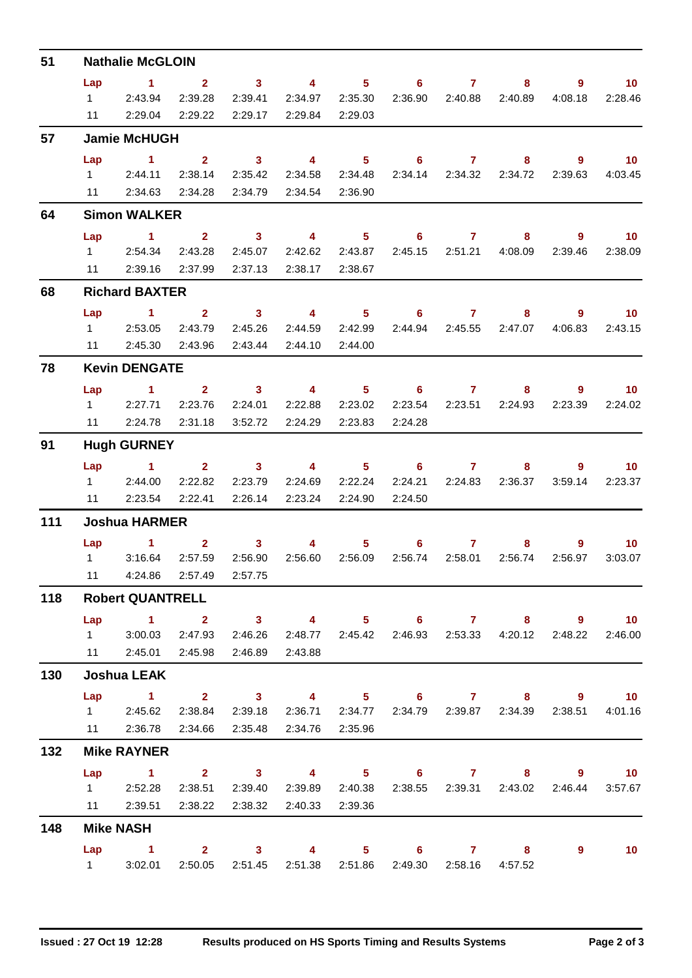| 51  | <b>Nathalie McGLOIN</b>                        |                                                                                   |                 |                 |                 |                |                                                               |                 |         |             |                 |  |  |  |
|-----|------------------------------------------------|-----------------------------------------------------------------------------------|-----------------|-----------------|-----------------|----------------|---------------------------------------------------------------|-----------------|---------|-------------|-----------------|--|--|--|
|     | Lap                                            | $\blacktriangleleft$                                                              | $\mathbf{2}$    | $\mathbf{3}$    | $\overline{4}$  | 5 <sup>5</sup> | $6\phantom{1}$                                                | $\overline{7}$  | 8       | 9           | 10 <sup>°</sup> |  |  |  |
|     | $1 \quad$                                      | 2:43.94                                                                           | 2:39.28         | 2:39.41         | 2:34.97         | 2:35.30        | 2:36.90                                                       | 2:40.88         | 2:40.89 | 4:08.18     | 2:28.46         |  |  |  |
|     | 11                                             | 2:29.04                                                                           | 2:29.22         | 2:29.17         | 2:29.84         | 2:29.03        |                                                               |                 |         |             |                 |  |  |  |
| 57  |                                                | <b>Jamie McHUGH</b>                                                               |                 |                 |                 |                |                                                               |                 |         |             |                 |  |  |  |
|     | Lap                                            | $\blacktriangleleft$                                                              | $\overline{2}$  | $\mathbf{3}$    | $\overline{4}$  | 5 <sup>5</sup> | $6^{\circ}$                                                   | $\mathbf{7}$    | 8       | 9           | 10 <sup>°</sup> |  |  |  |
|     | $1 \quad$                                      | 2:44.11                                                                           | 2:38.14         | 2:35.42         | 2:34.58         | 2:34.48        |                                                               | 2:34.14 2:34.32 | 2:34.72 | 2:39.63     | 4:03.45         |  |  |  |
|     | 11                                             | 2:34.63                                                                           | 2:34.28         | 2:34.79         | 2:34.54         | 2:36.90        |                                                               |                 |         |             |                 |  |  |  |
| 64  |                                                | <b>Simon WALKER</b>                                                               |                 |                 |                 |                |                                                               |                 |         |             |                 |  |  |  |
|     | Lap                                            | $\blacktriangleleft$                                                              | 2 <sup>1</sup>  | $\mathbf{3}$    | $\overline{4}$  | 5 <sup>1</sup> | $6\phantom{1}$                                                | 7               | 8       | 9           | 10              |  |  |  |
|     | $1 \quad$                                      | 2:54.34                                                                           | 2:43.28         | 2:45.07         | 2:42.62         | 2:43.87        | 2:45.15                                                       | 2:51.21         | 4:08.09 | 2:39.46     | 2:38.09         |  |  |  |
|     | 11                                             | 2:39.16                                                                           | 2:37.99         | 2:37.13         | 2:38.17         | 2:38.67        |                                                               |                 |         |             |                 |  |  |  |
| 68  | <b>Richard BAXTER</b>                          |                                                                                   |                 |                 |                 |                |                                                               |                 |         |             |                 |  |  |  |
|     | Lap                                            | 1.                                                                                | $\overline{2}$  | $\mathbf{3}$    | 4               | 5 <sup>1</sup> | 6.                                                            | $\mathbf{7}$    | 8       | 9           | 10 <sup>°</sup> |  |  |  |
|     | $1 \quad$                                      | 2:53.05                                                                           | 2:43.79         | 2:45.26         | 2:44.59         | 2:42.99        | 2:44.94                                                       | 2:45.55         | 2:47.07 | 4:06.83     | 2:43.15         |  |  |  |
|     | 11                                             | 2:45.30                                                                           | 2:43.96         | 2:43.44         | 2:44.10         | 2:44.00        |                                                               |                 |         |             |                 |  |  |  |
| 78  |                                                | <b>Kevin DENGATE</b>                                                              |                 |                 |                 |                |                                                               |                 |         |             |                 |  |  |  |
|     | Lap                                            | 1.                                                                                | $\mathbf{2}$    | $\mathbf{3}$    | 4               | 5 <sub>1</sub> | 6                                                             | 7               | 8       | 9           | 10 <sup>°</sup> |  |  |  |
|     | $1 \quad$                                      | 2:27.71                                                                           | 2:23.76         | 2:24.01         | 2:22.88         | 2:23.02        | 2:23.54                                                       | 2:23.51         | 2:24.93 | 2:23.39     | 2:24.02         |  |  |  |
|     | 11                                             | 2:24.78                                                                           | 2:31.18         | 3:52.72         | 2:24.29         | 2:23.83        | 2:24.28                                                       |                 |         |             |                 |  |  |  |
| 91  | <b>Hugh GURNEY</b>                             |                                                                                   |                 |                 |                 |                |                                                               |                 |         |             |                 |  |  |  |
|     | Lap                                            | $\blacktriangleleft$                                                              | 2 <sup>1</sup>  | $\mathbf{3}$    | 4               | 5              | 6.                                                            | $\mathbf{7}$    | 8       | 9           | 10              |  |  |  |
|     | $1 \quad$                                      | 2:44.00                                                                           | 2:22.82         | 2:23.79         | 2:24.69         | 2:22.24        | 2:24.21                                                       | 2:24.83         | 2:36.37 | 3:59.14     | 2:23.37         |  |  |  |
|     | 11                                             | 2:23.54                                                                           | 2:22.41         | 2:26.14         | 2:23.24         | 2:24.90        | 2:24.50                                                       |                 |         |             |                 |  |  |  |
| 111 | <b>Joshua HARMER</b>                           |                                                                                   |                 |                 |                 |                |                                                               |                 |         |             |                 |  |  |  |
|     | Lap                                            | 1.                                                                                | $\mathbf{2}$    | $\mathbf{3}$    | 4               | 5              | 6                                                             | 7               | 8       | 9           | 10              |  |  |  |
|     | $1 \quad \Box$                                 | 3:16.64                                                                           | 2:57.59         | 2:56.90         | 2:56.60         | 2:56.09        | 2:56.74                                                       | 2:58.01         | 2:56.74 | 2:56.97     | 3:03.07         |  |  |  |
|     | 11                                             |                                                                                   | 4:24.86 2:57.49 | 2:57.75         |                 |                |                                                               |                 |         |             |                 |  |  |  |
| 118 | <b>Robert QUANTRELL</b>                        |                                                                                   |                 |                 |                 |                |                                                               |                 |         |             |                 |  |  |  |
|     |                                                | Lap 1 2 3 4 5 6 7 8 9 10                                                          |                 |                 |                 |                |                                                               |                 |         |             |                 |  |  |  |
|     |                                                | 1 3:00.03                                                                         | 2:47.93         | 2:46.26         |                 |                | 2:48.77 2:45.42 2:46.93 2:53.33 4:20.12 2:48.22 2:46.00       |                 |         |             |                 |  |  |  |
|     |                                                | 11  2:45.01  2:45.98  2:46.89                                                     |                 |                 | 2:43.88         |                |                                                               |                 |         |             |                 |  |  |  |
| 130 |                                                | <b>Joshua LEAK</b>                                                                |                 |                 |                 |                |                                                               |                 |         |             |                 |  |  |  |
|     | Lap                                            | 1 2 3 4 5 6 7 8 9 10                                                              |                 |                 |                 |                |                                                               |                 |         |             |                 |  |  |  |
|     |                                                | 1 2:45.62 2:38.84 2:39.18 2:36.71 2:34.77 2:34.79 2:39.87 2:34.39 2:38.51 4:01.16 |                 |                 |                 |                |                                                               |                 |         |             |                 |  |  |  |
|     |                                                | 11 2:36.78 2:34.66 2:35.48                                                        |                 |                 | 2:34.76 2:35.96 |                |                                                               |                 |         |             |                 |  |  |  |
| 132 | <b>Mike RAYNER</b><br>Lap 1 2 3 4 5 6 7 8 9 10 |                                                                                   |                 |                 |                 |                |                                                               |                 |         |             |                 |  |  |  |
|     |                                                | 1 2:52.28                                                                         |                 | 2:38.51 2:39.40 |                 |                | 2:39.89  2:40.38  2:38.55  2:39.31  2:43.02  2:46.44  3:57.67 |                 |         |             |                 |  |  |  |
|     |                                                | 11  2:39.51  2:38.22  2:38.32  2:40.33  2:39.36                                   |                 |                 |                 |                |                                                               |                 |         |             |                 |  |  |  |
| 148 |                                                | <b>Mike NASH</b>                                                                  |                 |                 |                 |                |                                                               |                 |         |             |                 |  |  |  |
|     |                                                |                                                                                   |                 |                 |                 |                |                                                               |                 |         |             |                 |  |  |  |
|     |                                                | Lap 1 2 3 4 5 6 7 8<br>1 3:02.01                                                  |                 |                 |                 |                | 2:50.05  2:51.45  2:51.38  2:51.86  2:49.30  2:58.16  4:57.52 |                 |         | $9^{\circ}$ | 10              |  |  |  |
|     |                                                |                                                                                   |                 |                 |                 |                |                                                               |                 |         |             |                 |  |  |  |